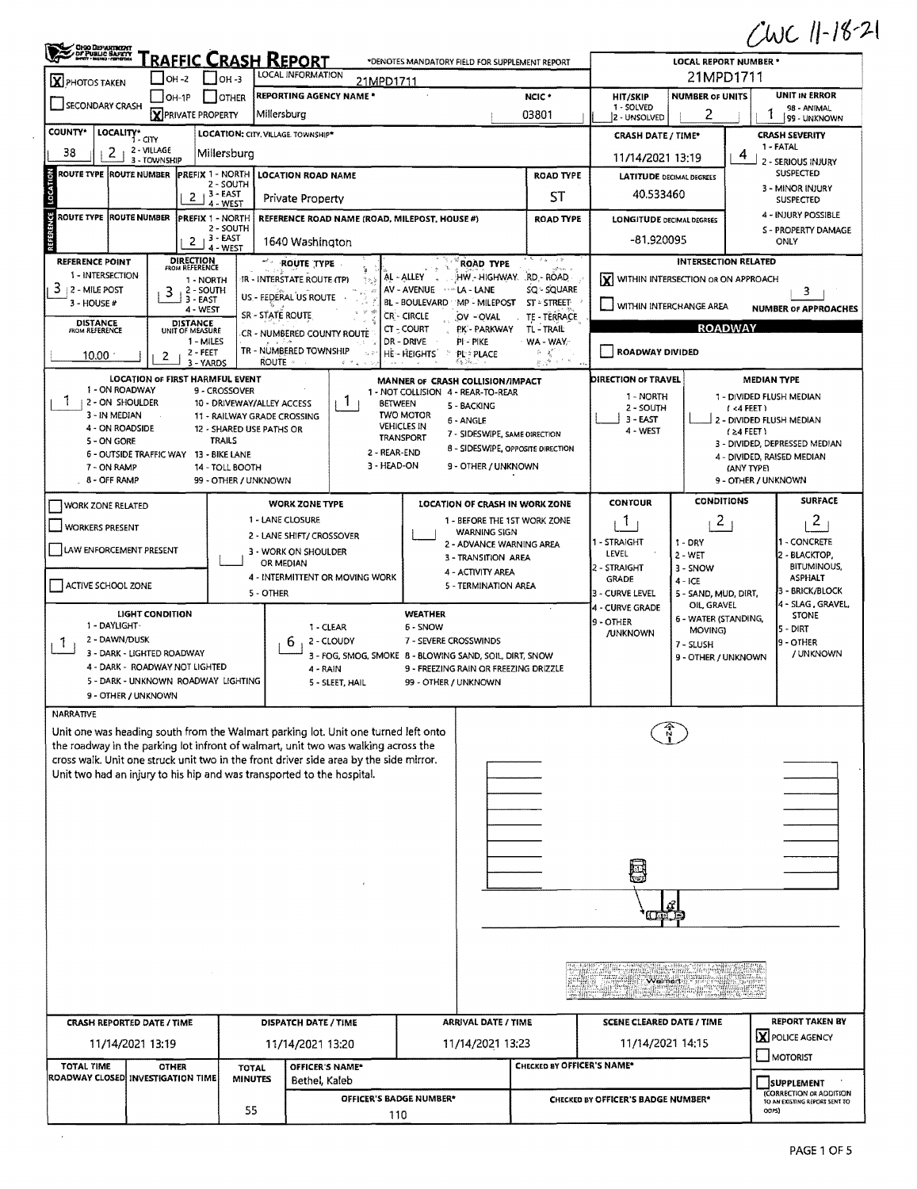$CUC 11-18-21$ 

| <b>X</b> PHOTOS TAKEN                   | OHIO DEPARTMENT<br><b>FRAFFIC CRASH REPORT</b><br>*DENOTES MANDATORY FIELD FOR SUPPLEMENT REPORT<br>LOCAL INFORMATION<br>L Іон-з<br>$OH -2$<br>21MPD1711 |                                                         |                                                                                        |                                                                        |                                               |                                    | <b>LOCAL REPORT NUMBER *</b><br>21MPD1711 |                                                                   |  |  |
|-----------------------------------------|----------------------------------------------------------------------------------------------------------------------------------------------------------|---------------------------------------------------------|----------------------------------------------------------------------------------------|------------------------------------------------------------------------|-----------------------------------------------|------------------------------------|-------------------------------------------|-------------------------------------------------------------------|--|--|
|                                         | OH-1P                                                                                                                                                    | JOTHER                                                  | <b>REPORTING AGENCY NAME*</b>                                                          |                                                                        | NCIC <sup>*</sup>                             | <b>HIT/SKIP</b>                    | <b>NUMBER OF UNITS</b>                    | <b>UNIT IN ERROR</b>                                              |  |  |
| <b>SECONDARY CRASH</b>                  | X PRIVATE PROPERTY                                                                                                                                       |                                                         | Millersburg                                                                            |                                                                        | 03801                                         | 1 - SOLVED<br>2 - UNSOLVED         | 2                                         | 98 - ANIMAL<br>99 - UNKNOWN                                       |  |  |
| <b>COUNTY*</b>                          | LOCALITY* CITY                                                                                                                                           |                                                         | LOCATION: CITY, VILLAGE. TOWNSHIP*                                                     |                                                                        |                                               | <b>CRASH DATE / TIME*</b>          |                                           | <b>CRASH SEVERITY</b>                                             |  |  |
| 38<br>2                                 | 2 - VILLAGE                                                                                                                                              | Millersburg                                             |                                                                                        |                                                                        |                                               |                                    |                                           | 1 - FATAL                                                         |  |  |
|                                         | 3 - TOWNSHIP                                                                                                                                             |                                                         |                                                                                        |                                                                        |                                               | 11/14/2021 13:19                   |                                           | 4<br>2 - SERIOUS INJURY                                           |  |  |
| ROUTE TYPE ROUTE NUMBER                 | <b>PREFIX 1 - NORTH</b>                                                                                                                                  | 2 - SOUTH                                               | <b>LOCATION ROAD NAME</b>                                                              |                                                                        | <b>ROAD TYPE</b>                              | <b>LATITUDE DECIMAL DEGREES</b>    |                                           | <b>SUSPECTED</b><br>3 - MINOR INJURY                              |  |  |
|                                         | $\mathbf{2}$                                                                                                                                             | 13 - EAST<br>4 - WEST                                   | Private Property                                                                       |                                                                        | ST                                            | 40.533460                          |                                           | <b>SUSPECTED</b>                                                  |  |  |
| ROUTE TYPE ROUTE NUMBER                 |                                                                                                                                                          | PREFIX 1 - NORTH                                        | REFERENCE ROAD NAME (ROAD, MILEPOST, HOUSE #)                                          |                                                                        | <b>ROAD TYPE</b>                              | <b>LONGITUDE DECIMAL DEGREES</b>   |                                           | 4 - INJURY POSSIBLE                                               |  |  |
|                                         |                                                                                                                                                          | 2 - SOUTH<br>, 3 - EAST                                 |                                                                                        |                                                                        |                                               | -81.920095                         |                                           | S - PROPERTY DAMAGE                                               |  |  |
|                                         | $\mathbf{2}$                                                                                                                                             | 4 - WEST                                                | 1640 Washington                                                                        |                                                                        |                                               |                                    |                                           | ONLY                                                              |  |  |
| <b>REFERENCE POINT</b>                  | <b>DIRECTION</b><br>FROM REFERENCE                                                                                                                       |                                                         | ROUTE TYPE                                                                             | <b>ROAD TYPE</b>                                                       | جنیم ک<br>altan a                             |                                    | <b>INTERSECTION RELATED</b>               |                                                                   |  |  |
| 1 - INTERSECTION<br>З.<br>2 - MILE POST | 1 - NORTH<br>2 - SOUTH                                                                                                                                   |                                                         | IR - INTERSTATE ROUTE (TP)<br>$\uparrow$ $\uparrow$ $\downarrow$                       | HW - HIGHWAY. RD - ROAD<br>AL-ALLEY<br>AV - AVENUE - MA - LANE         | SQ - SQUARE                                   | lx١                                | WITHIN INTERSECTION OR ON APPROACH        | 3                                                                 |  |  |
| 3 - HOUSE #                             | 3<br>$3 - EAST$<br>4 - WEST                                                                                                                              |                                                         | US - FEDERAL US ROUTE                                                                  | BL - BOULEVARD MP - MILEPOST                                           | ST - STREET                                   | WITHIN INTERCHANGE AREA            |                                           | <b>NUMBER OF APPROACHES</b>                                       |  |  |
| <b>DISTANCE</b><br>FROM REFERENCE       | <b>DISTANCE</b>                                                                                                                                          |                                                         | SR - STATE ROUTE                                                                       | CR-CIRCLE<br>OV-OVAL                                                   | TE - TERRACE                                  |                                    |                                           |                                                                   |  |  |
|                                         | UNIT OF MEASURE<br>1 - MILES                                                                                                                             |                                                         | CR - NUMBERED COUNTY ROUTE                                                             | $CT - COURT$<br>PK - PARKWAY<br>DR - DRIVE<br>PI - PIKE                | TL - TRAIL<br>WA - WAY.                       |                                    | <b>ROADWAY</b>                            |                                                                   |  |  |
| 10.00                                   | 2 - FEET<br>2                                                                                                                                            |                                                         | TR - NUMBERED TOWNSHIP<br>े हैं                                                        | HE-HEIGHTS<br>÷<br>PL: PLACE                                           | ó.<br>老<br>معان لأورغ                         | ROADWAY DIVIDED                    |                                           |                                                                   |  |  |
|                                         | 3 - YARDS                                                                                                                                                |                                                         | <b>ROUTE</b><br>$i - 1$                                                                |                                                                        |                                               |                                    |                                           |                                                                   |  |  |
| 1 - ON ROADWAY                          | <b>LOCATION OF FIRST HARMFUL EVENT</b>                                                                                                                   | 9 - CROSSOVER                                           |                                                                                        | MANNER OF CRASH COLLISION/IMPACT<br>1 - NOT COLLISION 4 - REAR-TO-REAR |                                               | DIRECTION OF TRAVEL                |                                           | <b>MEDIAN TYPE</b>                                                |  |  |
| T<br>  2 - ON SHOULDER                  |                                                                                                                                                          | 10 - DRIVEWAY/ALLEY ACCESS                              | <b>BETWEEN</b>                                                                         | 5 - BACKING                                                            |                                               | 1 - NORTH<br>2 - SOUTH             |                                           | 1 - DIVIDED FLUSH MEDIAN<br>(4FEE)                                |  |  |
| 3 - IN MEDIAN<br>4 - ON ROADSIDE        |                                                                                                                                                          | 11 - RAILWAY GRADE CROSSING<br>12 - SHARED USE PATHS OR |                                                                                        | <b>TWO MOTOR</b><br>6 - ANGLE<br><b>VEHICLES IN</b>                    |                                               | 3 - EAST                           |                                           | 2 - DIVIDED FLUSH MEDIAN                                          |  |  |
| 5 - ON GORE                             |                                                                                                                                                          | <b>TRAILS</b>                                           |                                                                                        | 7 - SIDESWIPE, SAME DIRECTION<br>TRANSPORT                             |                                               | 4 - WEST                           |                                           | $(24$ FEET)<br>3 - DIVIDED, DEPRESSED MEDIAN                      |  |  |
|                                         | 6 - OUTSIDE TRAFFIC WAY 13 - BIKE LANE                                                                                                                   |                                                         | 2 - REAR-END                                                                           | 8 - SIDESWIPE, OPPOSITE DIRECTION                                      |                                               |                                    |                                           | 4 - DIVIDED, RAISED MEDIAN                                        |  |  |
| 7 - ON RAMP<br>8 - OFF RAMP             |                                                                                                                                                          | 14 - TOLL BOOTH<br>99 - OTHER / UNKNOWN                 | 3 - HEAD-ON                                                                            | 9 - OTHER / UNKNOWN                                                    |                                               |                                    |                                           | (ANY TYPE)<br>9 - OTHER / UNKNOWN                                 |  |  |
|                                         |                                                                                                                                                          |                                                         |                                                                                        |                                                                        |                                               |                                    | <b>CONDITIONS</b>                         | <b>SURFACE</b>                                                    |  |  |
| <b>WORK ZONE RELATED</b>                |                                                                                                                                                          |                                                         | <b>WORK ZONE TYPE</b><br>1 - LANE CLOSURE                                              | LOCATION OF CRASH IN WORK ZONE                                         |                                               | <b>CONTOUR</b>                     |                                           |                                                                   |  |  |
| <b>WORKERS PRESENT</b>                  |                                                                                                                                                          |                                                         | 2 - LANE SHIFT/ CROSSOVER                                                              | 1 - BEFORE THE 1ST WORK ZONE<br><b>WARNING SIGN</b>                    |                                               | 1                                  | 2                                         | $\overline{a}$                                                    |  |  |
| LAW ENFORCEMENT PRESENT                 |                                                                                                                                                          |                                                         | 3 - WORK ON SHOULDER                                                                   | 2 - ADVANCE WARNING AREA                                               |                                               | 1 - STRAIGHT<br><b>LEVEL</b>       | 1 - DRY<br>$2 - WET$                      | I - CONCRETE<br>2 - BLACKTOP,                                     |  |  |
|                                         |                                                                                                                                                          |                                                         | OR MEDIAN                                                                              | 3 - TRANSITION AREA<br>4 - ACTIVITY AREA                               |                                               | 2 - STRAIGHT                       | 3 - SNOW                                  | BITUMINOUS,                                                       |  |  |
| ACTIVE SCHOOL ZONE                      |                                                                                                                                                          |                                                         | 4 - INTERMITTENT OR MOVING WORK                                                        | 5 - TERMINATION AREA                                                   |                                               | GRADE                              | $4 - ICE$                                 | <b>ASPHALT</b><br>- BRICK/BLOCK                                   |  |  |
|                                         |                                                                                                                                                          | 5 - OTHER                                               |                                                                                        |                                                                        |                                               | 3 - CURVE LEVEL<br>4 - CURVE GRADE | 5 - SAND, MUD, DIRT,<br>OIL, GRAVEL       | 4 - SLAG, GRAVEL,                                                 |  |  |
| 1 - DAYLIGHT                            | <b>LIGHT CONDITION</b>                                                                                                                                   |                                                         | 1 - CLEAR                                                                              | <b>WEATHER</b><br>6 - SNOW                                             |                                               | 9 - OTHER                          | 6 - WATER (STANDING,                      | <b>STONE</b><br>$5 - DIRT$                                        |  |  |
| 2 - DAWN/DUSK<br>Ţ.                     |                                                                                                                                                          |                                                         | 2 - CLOUDY<br>b                                                                        | 7 - SEVERE CROSSWINDS                                                  | MOVING)<br><b>/UNKNOWN</b><br>7 - SLUSH       |                                    |                                           |                                                                   |  |  |
|                                         | 3 - DARK - LIGHTED ROADWAY                                                                                                                               |                                                         |                                                                                        | 3 - FOG, SMOG, SMOKE 8 - BLOWING SAND, SOIL, DIRT, SNOW                | 9 - OTHER<br>/ UNKNOWN<br>9 - OTHER / UNKNOWN |                                    |                                           |                                                                   |  |  |
|                                         | 4 - DARK - ROADWAY NOT LIGHTED<br>5 - DARK - UNKNOWN ROADWAY LIGHTING                                                                                    |                                                         | 4 - RAIN                                                                               | 9 - FREEZING RAIN OR FREEZING DRIZZLE                                  |                                               |                                    |                                           |                                                                   |  |  |
|                                         | 9 - OTHER / UNKNOWN                                                                                                                                      |                                                         | 5 - SLEET, HAIL                                                                        | 99 - OTHER / UNKNOWN                                                   |                                               |                                    |                                           |                                                                   |  |  |
| <b>NARRATIVE</b>                        |                                                                                                                                                          |                                                         |                                                                                        |                                                                        |                                               |                                    |                                           |                                                                   |  |  |
|                                         |                                                                                                                                                          |                                                         | Unit one was heading south from the Walmart parking lot. Unit one turned left onto     |                                                                        |                                               |                                    |                                           |                                                                   |  |  |
|                                         |                                                                                                                                                          |                                                         | the roadway in the parking lot infront of walmart, unit two was walking across the     |                                                                        |                                               |                                    |                                           |                                                                   |  |  |
|                                         |                                                                                                                                                          |                                                         | cross walk. Unit one struck unit two in the front driver side area by the side mirror. |                                                                        |                                               |                                    |                                           |                                                                   |  |  |
|                                         |                                                                                                                                                          |                                                         | Unit two had an injury to his hip and was transported to the hospital.                 |                                                                        |                                               |                                    |                                           |                                                                   |  |  |
|                                         |                                                                                                                                                          |                                                         |                                                                                        |                                                                        |                                               |                                    |                                           |                                                                   |  |  |
|                                         |                                                                                                                                                          |                                                         |                                                                                        |                                                                        |                                               |                                    |                                           |                                                                   |  |  |
|                                         |                                                                                                                                                          |                                                         |                                                                                        |                                                                        |                                               |                                    |                                           |                                                                   |  |  |
|                                         |                                                                                                                                                          |                                                         |                                                                                        |                                                                        |                                               |                                    |                                           |                                                                   |  |  |
|                                         |                                                                                                                                                          |                                                         |                                                                                        |                                                                        |                                               |                                    |                                           |                                                                   |  |  |
|                                         |                                                                                                                                                          |                                                         |                                                                                        |                                                                        |                                               |                                    |                                           |                                                                   |  |  |
|                                         |                                                                                                                                                          |                                                         |                                                                                        |                                                                        |                                               |                                    |                                           |                                                                   |  |  |
|                                         |                                                                                                                                                          |                                                         |                                                                                        |                                                                        |                                               |                                    |                                           |                                                                   |  |  |
|                                         |                                                                                                                                                          |                                                         |                                                                                        |                                                                        |                                               |                                    |                                           |                                                                   |  |  |
|                                         |                                                                                                                                                          |                                                         |                                                                                        |                                                                        |                                               |                                    |                                           |                                                                   |  |  |
|                                         |                                                                                                                                                          |                                                         |                                                                                        |                                                                        |                                               | englis Gillie vinit. 2005          |                                           |                                                                   |  |  |
|                                         |                                                                                                                                                          |                                                         |                                                                                        |                                                                        |                                               |                                    |                                           |                                                                   |  |  |
|                                         |                                                                                                                                                          |                                                         |                                                                                        |                                                                        |                                               |                                    |                                           |                                                                   |  |  |
|                                         |                                                                                                                                                          |                                                         |                                                                                        |                                                                        | <b>SCENE CLEARED DATE / TIME</b>              |                                    |                                           | <b>REPORT TAKEN BY</b>                                            |  |  |
|                                         | CRASH REPORTED DATE / TIME                                                                                                                               |                                                         | DISPATCH DATE / TIME                                                                   | ARRIVAL DATE / TIME                                                    |                                               |                                    |                                           |                                                                   |  |  |
|                                         | 11/14/2021 13:19                                                                                                                                         |                                                         | 11/14/2021 13:20                                                                       | 11/14/2021 13:23                                                       |                                               | 11/14/2021 14:15                   |                                           | X POLICE AGENCY                                                   |  |  |
| <b>TOTAL TIME</b>                       | <b>OTHER</b>                                                                                                                                             | <b>TOTAL</b>                                            | OFFICER'S NAME*                                                                        |                                                                        | CHECKED BY OFFICER'S NAME*                    |                                    |                                           | MOTORIST                                                          |  |  |
|                                         | ROADWAY CLOSED INVESTIGATION TIME                                                                                                                        | <b>MINUTES</b>                                          | Bethel, Kaleb                                                                          |                                                                        |                                               |                                    |                                           | SUPPLEMENT                                                        |  |  |
|                                         |                                                                                                                                                          | 55                                                      | OFFICER'S BADGE NUMBER*                                                                | 110                                                                    |                                               | CHECKED BY OFFICER'S BADGE NUMBER* |                                           | (CORRECTION OR ADDITION<br>TO AN EXISTING REPORT SENT TO<br>ODPS) |  |  |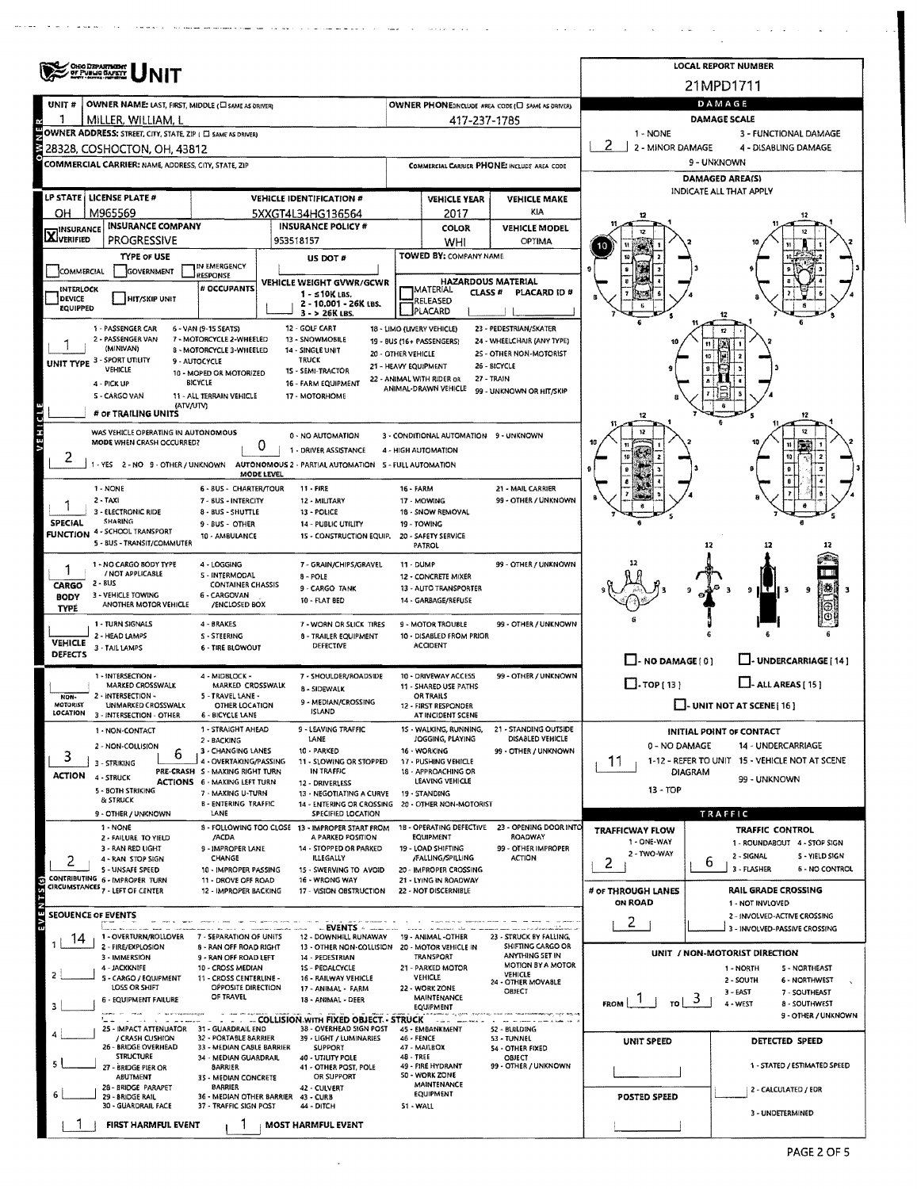|                                                                            | OHIO DEPARTMENT<br>OF PUBLIC BAFETY                                               |                                                          | <b>LOCAL REPORT NUMBER</b>                                             |                      |                                                                    |                                                   |                                                                          |                                                                       |  |  |  |  |
|----------------------------------------------------------------------------|-----------------------------------------------------------------------------------|----------------------------------------------------------|------------------------------------------------------------------------|----------------------|--------------------------------------------------------------------|---------------------------------------------------|--------------------------------------------------------------------------|-----------------------------------------------------------------------|--|--|--|--|
|                                                                            |                                                                                   |                                                          |                                                                        |                      |                                                                    |                                                   |                                                                          | 21MPD1711                                                             |  |  |  |  |
| UNIT #                                                                     | OWNER NAME: LAST, FIRST, MIDDLE (E) SAME AS ORIVER)                               |                                                          |                                                                        |                      |                                                                    | OWNER PHONE:INCLUDE AREA CODE (C) SAME AS ORIVERY |                                                                          | DAMAGE                                                                |  |  |  |  |
|                                                                            | MILLER, WILLIAM, L<br>OWNER ADDRESS; STREET, CITY, STATE, ZIP ( E SAME AS DRIVER) |                                                          |                                                                        |                      | 417-237-1785                                                       |                                                   | 1 - NONE                                                                 | <b>DAMAGE SCALE</b>                                                   |  |  |  |  |
|                                                                            | 28328, COSHOCTON, OH, 43812                                                       |                                                          |                                                                        |                      |                                                                    |                                                   | 2 2 - MINOR DAMAGE                                                       | 3 - FUNCTIONAL DAMAGE<br>4 - DISABLING DAMAGE                         |  |  |  |  |
|                                                                            | COMMERCIAL CARRIER: NAME, ADDRESS, CITY, STATE, ZIP                               |                                                          |                                                                        |                      |                                                                    | COMMERCIAL CARRIER PHONE: INCLUDE AREA CODE       | 9 - UNKNOWN                                                              |                                                                       |  |  |  |  |
|                                                                            |                                                                                   |                                                          |                                                                        |                      |                                                                    |                                                   | <b>DAMAGED AREA(S)</b>                                                   |                                                                       |  |  |  |  |
|                                                                            | LP STATE   LICENSE PLATE #                                                        |                                                          | <b>VEHICLE IDENTIFICATION #</b>                                        |                      | <b>VEHICLE YEAR</b>                                                | <b>VEHICLE MAKE</b>                               |                                                                          | INDICATE ALL THAT APPLY                                               |  |  |  |  |
| OН                                                                         | M965569                                                                           |                                                          | 5XXGT4L34HG136564                                                      |                      | 2017                                                               | <b>KIA</b>                                        |                                                                          |                                                                       |  |  |  |  |
| <b>INSURANCE COMPANY</b><br><b>INSURANCE POLICY #</b><br><b>HINSURANCE</b> |                                                                                   |                                                          |                                                                        |                      | COLOR                                                              | <b>VEHICLE MODEL</b>                              |                                                                          |                                                                       |  |  |  |  |
| X VERIFIED<br><b>PROGRESSIVE</b><br>953518157                              |                                                                                   |                                                          |                                                                        |                      | WHI                                                                | OPTIMA                                            |                                                                          |                                                                       |  |  |  |  |
|                                                                            | TYPE OF USE                                                                       |                                                          | US DOT #                                                               |                      | TOWED BY: COMPANY NAME                                             |                                                   |                                                                          |                                                                       |  |  |  |  |
| COMMERCIAL                                                                 | GOVERNMENT                                                                        | IN EMERGENCY<br>RESPONSE                                 |                                                                        |                      |                                                                    |                                                   |                                                                          |                                                                       |  |  |  |  |
| INTERLOCK                                                                  |                                                                                   | # OCCUPANTS                                              | VEHICLE WEIGHT GVWR/GCWR<br>1 - s10K LBS.                              |                      | <b>HAZARDOUS MATERIAL</b><br><b>MATERIAL</b><br>CLASS <sup>#</sup> | PLACARD ID#                                       |                                                                          |                                                                       |  |  |  |  |
| DEVICE<br>EQUIPPED                                                         | <b>HIT/SKIP UNIT</b>                                                              |                                                          | 2 - 10,001 - 26K LBS.<br>3 - > 26K LBS.                                |                      | RELEASED<br>PLACARD                                                |                                                   |                                                                          |                                                                       |  |  |  |  |
|                                                                            | 1 - PASSENGER CAR                                                                 | 6 - VAN (9-15 SEATS)                                     | 12 - GOLF CART                                                         |                      | 18 - LIMO (LIVERY VEHICLE)                                         | 23 - PEDESTRIAN/SKATER                            |                                                                          |                                                                       |  |  |  |  |
|                                                                            | 2 - PASSENGER VAN                                                                 | 7 - MOTORCYCLE 2-WHEELED                                 | 13 - SNOWMOBILE                                                        |                      | 19 - BUS (16+ PASSENGERS)                                          | 24 - WHEELCHAIR (ANY TYPE)                        |                                                                          |                                                                       |  |  |  |  |
|                                                                            | (MINIVAN)<br>UNIT TYPE 3 - SPORT UTILITY                                          | 8 - MOTORCYCLE 3-WHEELED<br>9 - AUTOCYCLE                | 14 - SINGLE UNIT<br><b>TRUCK</b>                                       | 20 - OTHER VEHICLE   |                                                                    | 2S - OTHER NON-MOTORIST                           |                                                                          | 10                                                                    |  |  |  |  |
|                                                                            | VEHICLE                                                                           | 10 - MOPED OR MOTORIZED                                  | 15 - SEMI-TRACTOR                                                      | 21 - HEAVY EQUIPMENT |                                                                    | 26 - BICYCLE                                      |                                                                          |                                                                       |  |  |  |  |
|                                                                            | 4 - PICK UP                                                                       | BICYCLE                                                  | 16 - FARM EQUIPMENT                                                    |                      | 22 - ANIMAL WITH RIDER OR<br>ANIMAL-DRAWN VEHICLE                  | 27 - TRAIN<br>99 - UNKNOWN OR HIT/SKIP            |                                                                          |                                                                       |  |  |  |  |
|                                                                            | 5 - CARGO VAN<br>(ATV/UTV)                                                        | 11 - ALL TERRAIN VEHICLE                                 | 17 - MOTORHOME                                                         |                      |                                                                    |                                                   |                                                                          |                                                                       |  |  |  |  |
|                                                                            | # OF TRAILING UNITS                                                               |                                                          |                                                                        |                      |                                                                    |                                                   | 12                                                                       |                                                                       |  |  |  |  |
| VEHICL                                                                     | WAS VEHICLE OPERATING IN AUTONOMOUS<br>MODE WHEN CRASH OCCURRED?                  |                                                          | 0 - NO AUTOMATION                                                      |                      | 3 - CONDITIONAL AUTOMATION 9 - UNKNOWN                             |                                                   |                                                                          |                                                                       |  |  |  |  |
|                                                                            |                                                                                   | 0                                                        | 1 - DRIVER ASSISTANCE                                                  |                      | 4 - HIGH AUTOMATION                                                |                                                   |                                                                          |                                                                       |  |  |  |  |
|                                                                            | YES 2-NO 9-OTHER/UNKNOWN                                                          | MODE LEVEL                                               | AUTONOMOUS 2 - PARTIAL AUTOMATION 5 - FULL AUTOMATION                  |                      |                                                                    |                                                   |                                                                          |                                                                       |  |  |  |  |
|                                                                            | 1 - NONE                                                                          | 6 - 8US - CHARTER/TOUR                                   | 11 - FIRE                                                              | 16 FARM              |                                                                    | 21 - MAIL CARRIER                                 |                                                                          |                                                                       |  |  |  |  |
|                                                                            | 2 - TAXI                                                                          | 7 - BUS - INTERCITY                                      | 12 - MILITARY                                                          |                      | 17 MOWING                                                          | 99 - OTHER / UNKNOWN                              |                                                                          |                                                                       |  |  |  |  |
| SPECIAL                                                                    | 3 - ELECTRONIC RIDE<br>SHARING                                                    | 8 - BUS - SHUTTLE                                        | 13 - POLICE                                                            |                      | 18 - SNOW REMOVAL                                                  |                                                   |                                                                          |                                                                       |  |  |  |  |
|                                                                            | <b>FUNCTION 4 - SCHOOL TRANSPORT</b>                                              | 9 - BUS - OTHER<br>10 - AMBULANCE                        | <b>14 - PUBLIC UTILITY</b><br>15 - CONSTRUCTION EQUIP.                 |                      | 19 - TOWING<br>20 - SAFETY SERVICE                                 |                                                   |                                                                          |                                                                       |  |  |  |  |
|                                                                            | 5 - BUS - TRANSIT/COMMUTER                                                        |                                                          |                                                                        |                      | PATROL                                                             |                                                   |                                                                          | 12<br>12                                                              |  |  |  |  |
|                                                                            | 1 - NO CARGO BODY TYPE                                                            | 4 - LOGGING                                              | 7 - GRAIN/CHIPS/GRAVEL                                                 | 11 - DUMP            |                                                                    | 99 - OTHER / UNKNOWN                              |                                                                          |                                                                       |  |  |  |  |
| CARGO                                                                      | / NOT APPLICABLE<br>2 - BUS                                                       | S - INTERMODAL<br><b>CONTAINER CHASSIS</b>               | $8 - POLE$                                                             |                      | 12 - CONCRETE MIXER                                                |                                                   |                                                                          |                                                                       |  |  |  |  |
| <b>BODY</b>                                                                | 3 - VEHICLE TOWING                                                                | 6 - CARGOVAN                                             | 9 - CARGO TANK<br>10 - FLAT BED                                        |                      | 13 - AUTO TRANSPORTER<br>14 - GARBAGE/REFUSE                       |                                                   |                                                                          | 107<br>9<br>9 II T II 3<br>વ                                          |  |  |  |  |
| <b>TYPE</b>                                                                | ANOTHER MOTOR VEHICLE                                                             | /ENCLOSED BOX                                            |                                                                        |                      |                                                                    |                                                   |                                                                          |                                                                       |  |  |  |  |
|                                                                            | 1 - TURN SIGNALS                                                                  | 4 - BRAKES                                               | 7 - WORN OR SLICK TIRES                                                |                      | 9 - MOTOR TROUBLE                                                  | 99 - OTHER / UNKNOWN                              |                                                                          |                                                                       |  |  |  |  |
| <b>VEHICLE</b>                                                             | 2 - HEAD LAMPS<br>3 - TAIL LAMPS                                                  | S - STEERING<br>6 - TIRE BLOWOUT                         | 8 - TRAILER EQUIPMENT<br>DEFECTIVE                                     |                      | 10 - DISABLED FROM PRIOR<br><b>ACCIDENT</b>                        |                                                   |                                                                          |                                                                       |  |  |  |  |
| DEFECTS                                                                    |                                                                                   |                                                          |                                                                        |                      |                                                                    |                                                   | $\Box$ - NO DAMAGE $(0)$                                                 | J- UNDERCARRIAGE [ 14 ]                                               |  |  |  |  |
|                                                                            | 1 - INTERSECTION -                                                                | 4 - MIDBLOCK -                                           | 7 - SHOULDER/ROADSIDE                                                  |                      | 10 - DRIVEWAY ACCESS                                               | 99 - OTHER / UNKNOWN                              |                                                                          |                                                                       |  |  |  |  |
| NON-                                                                       | <b>MARKED CROSSWALK</b><br>2 - INTERSECTION -                                     | MARKED CROSSWALK<br>5 - TRAVEL LANE -                    | 8 - SIDEWALK                                                           |                      | 11 - SHARED USE PATHS<br>OR TRAILS                                 |                                                   | $\Box$ -TOP(13)<br>$LJ$ - ALL AREAS [ 15 ]<br>- UNIT NOT AT SCENE [ 16 ] |                                                                       |  |  |  |  |
| MOTORIST<br>LOCATION                                                       | UNMARKED CROSSWALK<br>3 - INTERSECTION - OTHER                                    | OTHER LOCATION<br>6 - BICYCLE LANE                       | 9 - MEDIAN/CROSSING<br><b>ISLAND</b>                                   |                      | 12 - FIRST RESPONDER<br>AT INCIDENT SCENE                          |                                                   |                                                                          |                                                                       |  |  |  |  |
|                                                                            | 1 - NON-CONTACT                                                                   | 1 - STRAIGHT AHEAD                                       | 9 - LEAVING TRAFFIC                                                    |                      | 15 - WALKING, RUNNING,                                             | 21 - STANDING OUTSIDE                             |                                                                          | INITIAL POINT OF CONTACT                                              |  |  |  |  |
|                                                                            | 2 - NON-COLLISION                                                                 | 2 - BACKING                                              | LANE                                                                   |                      | JOGGING, PLAYING                                                   | DISABLED VEHICLE                                  | 0 - NO DAMAGE                                                            | 14 - UNDERCARRIAGE                                                    |  |  |  |  |
| 3                                                                          | 6<br>3 - STRIKING                                                                 | 3 - CHANGING LANES<br>4 - OVERTAKING/PASSING             | 10 - PARKED<br>11 - SLOWING OR STOPPED                                 |                      | 16 - WORKING<br>17 - PUSHING VEHICLE                               | 99 - OTHER / UNKNOWN                              | 11                                                                       | 1-12 - REFER TO UNIT 15 - VEHICLE NOT AT SCENE                        |  |  |  |  |
| ACTION                                                                     | 4 - STRUCK                                                                        | PRE-CRASH S - MAKING RIGHT TURN                          | IN TRAFFIC                                                             |                      | 18 - APPROACHING OR                                                |                                                   |                                                                          | <b>DIAGRAM</b><br>99 - UNKNOWN                                        |  |  |  |  |
|                                                                            | 5 - BOTH STRIKING                                                                 | <b>ACTIONS 6 - MAKING LEFT TURN</b><br>7 - MAKING U-TURN | 12 - DRIVERLESS<br>13 - NEGOTIATING A CURVE                            |                      | LEAVING VEHICLE<br>19 - STANDING                                   |                                                   | $13 - TOP$                                                               |                                                                       |  |  |  |  |
|                                                                            | & STRUCK                                                                          | <b>B-ENTERING TRAFFIC</b>                                | 14 - ENTERING OR CROSSING 20 - OTHER NON-MOTORIST                      |                      |                                                                    |                                                   |                                                                          |                                                                       |  |  |  |  |
|                                                                            | 9 - OTHER / UNKNOWN<br>1 - NONE                                                   | LANE                                                     | SPECIFIED LOCATION<br>8 - FOLLOWING TOO CLOSE 13 - IMPROPER START FROM |                      |                                                                    | 18 - OPERATING DEFECTIVE 23 - OPENING DOOR INTO   |                                                                          | TRAFFIC                                                               |  |  |  |  |
|                                                                            | 2 - FAILURE TO YIELD                                                              | /ACDA                                                    | A PARKED POSITION                                                      |                      | <b>EQUIPMENT</b>                                                   | ROADWAY                                           | <b>TRAFFICWAY FLOW</b><br>1 - ONE-WAY                                    | TRAFFIC CONTROL<br>1 - ROUNDABOUT 4 - STOP SIGN                       |  |  |  |  |
|                                                                            | 3 - RAN RED LIGHT<br>4 - RAN STOP SIGN                                            | 9 - IMPROPER LANE<br>CHANGE                              | 14 - STOPPED OR PARKED<br><b>ILLEGALLY</b>                             |                      | 19 - LOAD SHIFTING<br>/FALLING/SPILLING                            | 99 - OTHER IMPROPER<br><b>ACTION</b>              | 2 - TWO-WAY                                                              | 2 - SIGNAL<br>5 - YIELD SIGN                                          |  |  |  |  |
| 2                                                                          | <b>S-UNSAFE SPEED</b>                                                             | 10 - IMPROPER PASSING                                    | 15 - SWERVING TO AVOID                                                 |                      | 20 - IMPROPER CROSSING                                             |                                                   | 2.                                                                       | 6<br>3 - FLASHER<br>6 - NO CONTROL                                    |  |  |  |  |
|                                                                            | CONTRIBUTING 6 - IMPROPER TURN<br>CIRCUMSTANCES 7 - LEFT OF CENTER                | 11 - DROVE OFF ROAD<br>12 - IMPROPER BACKING             | 16 - WRONG WAY<br>17 - VISION OBSTRUCTION                              |                      | 21 - LYING IN ROADWAY<br>22 - NOT DISCERNIBLE                      |                                                   | # OF THROUGH LANES                                                       | <b>RAIL GRADE CROSSING</b>                                            |  |  |  |  |
| EVENTS <sub>(S)</sub>                                                      |                                                                                   |                                                          |                                                                        |                      |                                                                    |                                                   | <b>ON ROAD</b>                                                           | 1 - NOT INVLOVED                                                      |  |  |  |  |
| SEOUENCE OF EVENTS                                                         |                                                                                   |                                                          |                                                                        |                      |                                                                    |                                                   | 2                                                                        | 2 - INVOLVED-ACTIVE CROSSING                                          |  |  |  |  |
| 14                                                                         | 1 - OVERTURN/ROLLOVER                                                             | 7 - SEPARATION OF UNITS                                  | $-$ EVENTS $\sim$ .<br>12 - DOWNHILL RUNAWAY                           |                      | 19 - ANIMAL -OTHER                                                 | 23 - STRUCK BY FALLING.                           |                                                                          | 3 - INVOLVED-PASSIVE CROSSING                                         |  |  |  |  |
|                                                                            | 2 - FIRE/EXPLOSION<br>3 - IMMERSION                                               | 8 - RAN OFF ROAD RIGHT<br>9 - RAN OFF ROAD LEFT          | 13 - OTHER NON-COLLISION 20 - MOTOR VEHICLE IN<br>14 - PEDESTRIAN      |                      | <b>TRANSPORT</b>                                                   | SHIFTING CARGO OR<br>ANYTHING SET IN              |                                                                          | UNIT / NON-MOTORIST DIRECTION                                         |  |  |  |  |
|                                                                            | 4 - JACKKNIFE                                                                     | 10 - CROSS MEDIAN                                        | 1S - PEDALCYCLE                                                        |                      | 21 - PARKED MOTOR                                                  | MOTION BY A MOTOR                                 |                                                                          | 1 - NORTH<br>5 - NORTHEAST                                            |  |  |  |  |
|                                                                            | S - CARGO / EQUIPMENT<br>LOSS OR SHIFT                                            | 11 - CROSS CENTERLINE -<br>OPPOSITE DIRECTION            | 16 - RAILWAY VEHICLE<br>17 - ANIMAL - FARM                             |                      | VEHICLE<br>22 - WORK ZONE                                          | VEHICLE<br>24 - OTHER MOVABLE                     |                                                                          | 2 - SOUTH<br><b>6 - NORTHWEST</b>                                     |  |  |  |  |
|                                                                            | 6 - EQUIPMENT FAILURE                                                             | OF TRAVEL                                                | 18 - ANIMAL - DEER                                                     |                      | <b>MAINTENANCE</b>                                                 | OBJECT                                            | $FROM$ $\vert$<br>TO !                                                   | 3 - EAST<br>7 - SOUTHEAST<br>3.<br>$4 - WEST$<br><b>8 - SOUTHWEST</b> |  |  |  |  |
|                                                                            | 10 This of this personal engine                                                   |                                                          | - - COLLISION WITH FIXED OBJECT - STRUCK                               |                      | <b>EQUIPMENT</b>                                                   |                                                   |                                                                          | 9 - OTHER / UNKNOWN                                                   |  |  |  |  |
|                                                                            | 25 IMPACT ATTENUATOR 31 - GUARDRAIL END                                           |                                                          | 38 - OVERHEAD SIGN POST                                                |                      | 45 - EMBANKMENT                                                    | 52 - BUILDING                                     |                                                                          |                                                                       |  |  |  |  |
|                                                                            | / CRASH CUSHION<br>26 - BRIDGE OVERHEAD                                           | 32 - PORTABLE BARRIER<br>33 - MEDIAN CABLE BARRIER       | 39 - LIGHT / LUMINARIES<br><b>SUPPORT</b>                              | 46 - FENCE           | 47 - MAILBOX                                                       | <b>S3 - TUNNEL</b><br>54 - OTHER FIXED            | UNIT SPEED                                                               | <b>DETECTED SPEED</b>                                                 |  |  |  |  |
|                                                                            | <b>STRUCTURE</b><br>27 - BRIDGE PIER OR                                           | 34 - MEDIAN GUARDRAIL<br><b>BARRIER</b>                  | 40 - UTILITY POLE<br>41 - OTHER POST, POLE                             | 48 - TREE            | 49 - FIRE HYDRANT                                                  | <b>OBJECT</b><br>99 - OTHER / UNKNOWN             |                                                                          | 1 - STATED / ESTIMATED SPEED                                          |  |  |  |  |
|                                                                            | <b>ABUTMENT</b>                                                                   | 35 - MEDIAN CONCRETE                                     | OR SUPPORT                                                             |                      | 50 - WORK ZONE<br>MAINTENANCE                                      |                                                   |                                                                          |                                                                       |  |  |  |  |
|                                                                            | 28 - BRIDGE PARAPET<br>29 - BRIDGE RAIL                                           | <b>BARRIER</b>                                           | 42 - CULVERT<br>36 - MEDIAN OTHER BARRIER 43 - CURB                    |                      | <b>EQUIPMENT</b>                                                   |                                                   | <b>POSTED SPEED</b>                                                      | 2 - CALCULATED / EDR                                                  |  |  |  |  |
|                                                                            | 30 - GUARDRAIL FACE                                                               | 37 - TRAFFIC SIGN POST                                   | 44 - DITCH                                                             | 51 - WALL            |                                                                    |                                                   |                                                                          | 3 - UNDETERMINED                                                      |  |  |  |  |
|                                                                            | FIRST HARMFUL EVENT                                                               |                                                          | <b>MOST HARMFUL EVENT</b>                                              |                      |                                                                    |                                                   |                                                                          |                                                                       |  |  |  |  |

 $\cdot$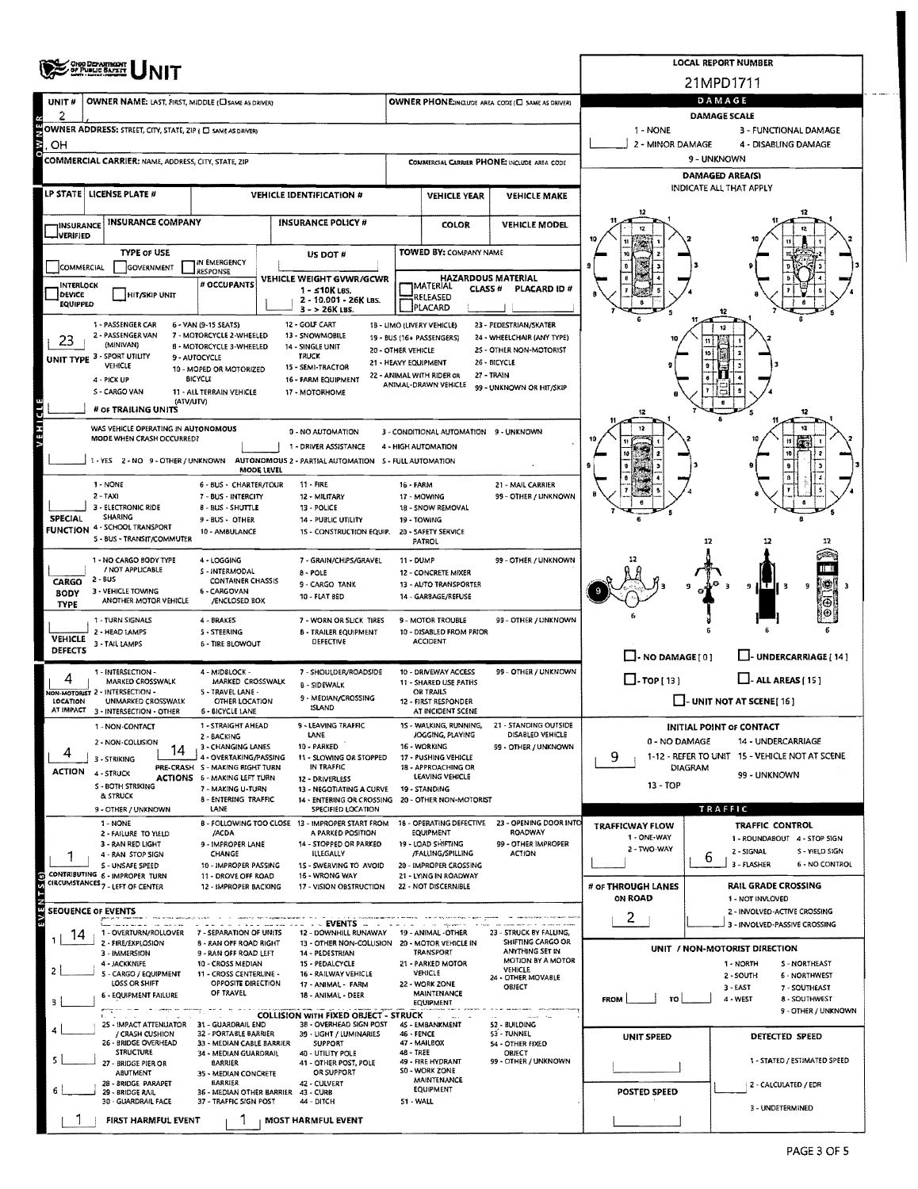|                            | <b><i>ONO DEPARTMENT</i></b><br>OF PUBLIC BAFRIT                                         |                                                                 | <b>LOCAL REPORT NUMBER</b> |                                                                        |                                                                       |                                                         |                                                      |                                                   |                |                                                                  |  |  |  |  |
|----------------------------|------------------------------------------------------------------------------------------|-----------------------------------------------------------------|----------------------------|------------------------------------------------------------------------|-----------------------------------------------------------------------|---------------------------------------------------------|------------------------------------------------------|---------------------------------------------------|----------------|------------------------------------------------------------------|--|--|--|--|
|                            |                                                                                          |                                                                 |                            |                                                                        |                                                                       |                                                         |                                                      |                                                   |                | 21MPD1711                                                        |  |  |  |  |
| UNIT#                      | OWNER NAME: LAST, FIRST, MIDDLE (C) SAME AS DRIVER)                                      |                                                                 |                            |                                                                        |                                                                       |                                                         | OWNER PHONE:INCLUDE AREA CODE (E) SAME AS DRIVER)    |                                                   |                | DAMAGE                                                           |  |  |  |  |
| 2                          | OWNER ADDRESS: STREET, CITY, STATE, ZIP ( O SAME AS DRIVER)                              |                                                                 |                            |                                                                        |                                                                       |                                                         |                                                      | 1 - NONE                                          |                | <b>DAMAGE SCALE</b><br>3 - FUNCTIONAL DAMAGE                     |  |  |  |  |
| š<br>OH                    |                                                                                          |                                                                 |                            |                                                                        |                                                                       |                                                         |                                                      | 2 - MINOR DAMAGE                                  |                | 4 - DISABLING DAMAGE                                             |  |  |  |  |
|                            | COMMERCIAL CARRIER: NAME, ADDRESS, CITY, STATE, ZIP                                      |                                                                 |                            |                                                                        |                                                                       |                                                         | COMMERCIAL CARRIER PHONE: INCLUDE AREA CODE          | 9 - UNKNOWN                                       |                |                                                                  |  |  |  |  |
|                            |                                                                                          |                                                                 |                            |                                                                        |                                                                       |                                                         |                                                      | <b>DAMAGED AREA(S)</b><br>INDICATE ALL THAT APPLY |                |                                                                  |  |  |  |  |
|                            | LP STATE   LICENSE PLATE #<br><b>VEHICLE IDENTIFICATION #</b>                            |                                                                 |                            |                                                                        |                                                                       |                                                         | <b>VEHICLE MAKE</b>                                  |                                                   |                |                                                                  |  |  |  |  |
| <b>INSURANCE</b>           | <b>INSURANCE COMPANY</b>                                                                 |                                                                 |                            | <b>INSURANCE POLICY #</b>                                              |                                                                       | <b>COLOR</b>                                            | <b>VEHICLE MODEL</b>                                 |                                                   |                |                                                                  |  |  |  |  |
| <b>VERIFIED</b>            |                                                                                          |                                                                 |                            |                                                                        |                                                                       |                                                         |                                                      |                                                   |                |                                                                  |  |  |  |  |
|                            | <b>TYPE OF USE</b>                                                                       | IN EMERGENCY                                                    |                            | US DOT #                                                               |                                                                       | <b>TOWED BY: COMPANY NAME</b>                           |                                                      |                                                   |                |                                                                  |  |  |  |  |
| <b>COMMERCIAL</b>          | GOVERNMENT                                                                               | <b>RESPONSE</b><br># OCCUPANTS                                  |                            | VEHICLE WEIGHT GVWR/GCWR                                               |                                                                       | <b>HAZARDOUS MATERIAL</b>                               |                                                      |                                                   |                |                                                                  |  |  |  |  |
| <b>INTERLOCK</b><br>DEVICE | <b>HIT/SKIP UNIT</b>                                                                     |                                                                 |                            | $1 - 510K$ LBS.<br>2 - 10.001 - 26K LBS.                               |                                                                       | <b>I</b> MATERIAL<br><b>CLASS #</b><br>RELEASED         | PLACARD ID#                                          |                                                   |                |                                                                  |  |  |  |  |
| <b>EQUIPPED</b>            |                                                                                          |                                                                 |                            | $3 - 26K$ LBS.                                                         |                                                                       | PLACARD                                                 |                                                      |                                                   |                |                                                                  |  |  |  |  |
| 23                         | 1 - PASSENGER CAR<br>2 - PASSENGER VAN                                                   | 6 - VAN (9-15 SEATS)<br>7 - MOTORCYCLE 2-WHEELED                |                            | 12 - GOLF CART<br>13 - SNOWMOBILE                                      |                                                                       | 18 - LIMO (LIVERY VEHICLE)<br>19 - BUS (16+ PASSENGERS) | 23 - PEDESTRIAN/SKATER<br>24 - WHEELCHAIR (ANY TYPE) |                                                   |                |                                                                  |  |  |  |  |
|                            | (MINIVAN)<br>UNIT TYPE 3 - SPORT UTILITY                                                 | <b>B - MOTORCYCLE 3-WHEELED</b><br>9 - AUTOCYCLE                |                            | 14 - SINGLE UNIT<br><b>TRUCK</b>                                       | 20 - OTHER VEHICLE                                                    |                                                         | 25 - OTHER NON-MOTORIST                              |                                                   |                |                                                                  |  |  |  |  |
|                            | VEHICLE<br>4 - PICK UP                                                                   | 10 - MOPED OR MOTORIZED<br>BICYCLE                              |                            | 15 - SEMI-TRACTOR<br>16 - FARM EQUIPMENT                               | 21 - HEAVY EQUIPMENT                                                  | 22 - ANIMAL WITH RIDER OR                               | 26 - BICYCLE<br>27 - TRAIN                           |                                                   |                |                                                                  |  |  |  |  |
|                            | S - CARGO VAN                                                                            | 11 - ALL TERRAIN VEHICLE                                        |                            | 17 - MOTORHOME                                                         |                                                                       | ANIMAL-DRAWN VEHICLE                                    | 99 - UNKNOWN OR HIT/SKIP                             |                                                   |                |                                                                  |  |  |  |  |
|                            | (ATV/UTV)<br># OF TRAILING UNITS                                                         |                                                                 |                            |                                                                        |                                                                       |                                                         |                                                      |                                                   |                | 12                                                               |  |  |  |  |
| <b>A E H I C L E</b>       | WAS VEHICLE OPERATING IN AUTONOMOUS<br>MODE WHEN CRASH OCCURRED?                         |                                                                 |                            | 0 - NO AUTOMATION                                                      |                                                                       | 3 - CONDITIONAL AUTOMATION 9 - UNKNOWN                  |                                                      |                                                   |                |                                                                  |  |  |  |  |
|                            |                                                                                          |                                                                 |                            | 1 - DRIVER ASSISTANCE                                                  |                                                                       | 4 - HIGH AUTOMATION                                     |                                                      |                                                   |                |                                                                  |  |  |  |  |
|                            | 1 - YES 2 - NO 9 - OTHER / UNKNOWN AUTONOMOUS 2 - PARTIAL AUTOMATION S - FULL AUTOMATION |                                                                 | <b>MODE LEVEL</b>          |                                                                        |                                                                       |                                                         |                                                      |                                                   |                |                                                                  |  |  |  |  |
|                            | 1 - NONE                                                                                 | 6 - BUS - CHARTER/TOUR                                          |                            | 11 - FIRE                                                              | <b>16 - FARM</b>                                                      |                                                         | 21 - MAIL CARRIER                                    |                                                   |                |                                                                  |  |  |  |  |
|                            | $2 - TAXI$<br>3 - ELECTRONIC RIDE                                                        | 7 - BUS - INTERCITY<br>8 - BUS - SHUTTLE                        |                            | 12 - MILITARY<br>13 - POLICE                                           |                                                                       | 17 - MOWING<br>18 - SNOW REMOVAL                        | 99 - OTHER / UNKNOWN                                 |                                                   |                |                                                                  |  |  |  |  |
| <b>SPECIAL</b>             | <b>SHARING</b><br><b>FUNCTION 4 - SCHOOL TRANSPORT</b>                                   | 9 - BUS - OTHER<br>10 - AMBULANCE                               |                            | 14 - PUBLIC UTILITY<br>1S - CONSTRUCTION EQUIP.                        | 19 - TOWING                                                           | 20 - SAFETY SERVICE                                     |                                                      |                                                   |                |                                                                  |  |  |  |  |
|                            | S - BUS - TRANSIT/COMMUTER                                                               |                                                                 |                            |                                                                        |                                                                       | PATROL                                                  |                                                      |                                                   | 12             | 12                                                               |  |  |  |  |
|                            | 1 - NO CARGO BODY TYPE<br>/ NOT APPLICABLE                                               | 4 - LOGGING<br><b>S-INTERMODAL</b>                              |                            | 7 - GRAIN/CHIPS/GRAVEL                                                 | 11 - DUMP                                                             |                                                         | 99 - OTHER / UNKNOWN                                 |                                                   |                |                                                                  |  |  |  |  |
| CARGO                      | $2 - BUS$                                                                                | <b>CONTAINER CHASSIS</b>                                        |                            | 8 - POLE<br>9 - CARGO TANK                                             |                                                                       | 12 - CONCRETE MIXER<br>13 - AUTO TRANSPORTER            |                                                      |                                                   |                | 瓣<br>9 H C<br>9                                                  |  |  |  |  |
| <b>BODY</b><br><b>TYPE</b> | 3 - VEHICLE TOWING<br>ANOTHER MOTOR VEHICLE                                              | 6 - CARGOVAN<br>/ENCLOSED BOX                                   |                            | 10 - FLAT BED                                                          |                                                                       | 14 - GARBAGE/REFUSE                                     |                                                      |                                                   |                | ⊕                                                                |  |  |  |  |
|                            | 1 - TURN SIGNALS                                                                         | 4 - BRAKES                                                      |                            | 7 - WORN OR SLICK TIRES                                                |                                                                       | <b>9 - MOTOR TROUBLE</b>                                | 99 - OTHER / UNKNOWN                                 |                                                   |                |                                                                  |  |  |  |  |
| <b>VEHICLE</b>             | 2 - HEAD LAMPS<br>3 - TAIL LAMPS                                                         | <b>S-STEERING</b><br><b>6 - TIRE BLOWOUT</b>                    |                            | <b>B - TRAILER EQUIPMENT</b><br>DEFECTIVE                              |                                                                       | 10 - DISABLED FROM PRIOR<br><b>ACCIDENT</b>             |                                                      |                                                   |                |                                                                  |  |  |  |  |
| DEFECTS                    |                                                                                          |                                                                 |                            |                                                                        |                                                                       |                                                         |                                                      | $\Box$ - NO DAMAGE [ 0 ]                          |                | U-UNDERCARRIAGE [ 14 ]                                           |  |  |  |  |
| 4                          | 1 - INTERSECTION -<br>MARKED CROSSWALK                                                   | 4 - MIDBLOCK -<br>MARKED CROSSWALK                              |                            | 7 - SHOULDER/ROADSIDE<br><b>B - SIDEWALK</b>                           | 10 - DRIVEWAY ACCESS<br>99 - OTHER / UNKNOWN<br>11 - SHARED USE PATHS |                                                         |                                                      | $\Box$ -TOP[13]<br>$\Box$ - ALL AREAS [ 15 ]      |                |                                                                  |  |  |  |  |
| LOCATION                   | NON-MOTORIST 2 - INTERSECTION -<br>UNMARKED CROSSWALK                                    | S - TRAVEL LANE -<br><b>OTHER LOCATION</b>                      |                            | 9 - MEDIAN/CROSSING                                                    |                                                                       | <b>OR TRAILS</b><br>12 - FIRST RESPONDER                |                                                      | $\Box$ - UNIT NOT AT SCENE [ 16 ]                 |                |                                                                  |  |  |  |  |
|                            | AT IMPACT 3 - INTERSECTION - OTHER                                                       | 6 - BICYCLE LANE                                                |                            | ISLAND<br>9 - LEAVING TRAFFIC                                          |                                                                       | AT INCIDENT SCENE<br>15 - WALKING, RUNNING,             | 21 - STANDING OUTSIDE                                |                                                   |                |                                                                  |  |  |  |  |
|                            | 1 - NON-CONTACT<br>2 - NON-COLLISION                                                     | 1 - STRAIGHT AHEAD<br>2 - BACKING                               |                            | LANE                                                                   |                                                                       | JOGGING, PLAYING                                        | DISABLED VEHICLE                                     | 0 - NO DAMAGE                                     |                | INITIAL POINT OF CONTACT<br>14 - UNDERCARRIAGE                   |  |  |  |  |
|                            | 14<br>3 - STRIKING                                                                       | 3 - CHANGING LANES<br>4 - OVERTAKING/PASSING                    |                            | 10 - PARKED<br>11 - SLOWING OR STOPPED                                 | 16 - WORKING<br>99 - OTHER / UNKNOWN<br>17 - PUSHING VEHICLE          |                                                         |                                                      | 9                                                 |                | 1-12 - REFER TO UNIT 15 - VEHICLE NOT AT SCENE                   |  |  |  |  |
| ACTION                     | 4 - STRUCK                                                                               | PRE-CRASH S - MAKING RIGHT TURN<br>ACTIONS 6 - MAKING LEFT TURN |                            | IN TRAFFIC<br>12 - DRIVERLESS                                          |                                                                       | 18 - APPROACHING OR<br>LEAVING VEHICLE                  |                                                      |                                                   | <b>DIAGRAM</b> | 99 - UNKNOWN                                                     |  |  |  |  |
|                            | S - BOTH STRIKING<br>& STRUCK                                                            | 7 - MAKING U-TURN<br>8 - ENTERING TRAFFIC                       |                            | 13 - NEGOTIATING A CURVE<br>14 - ENTERING OR CROSSING                  |                                                                       | 19 - STANDING<br>20 - OTHER NON-MOTORIST                |                                                      | 13 - TOP                                          |                |                                                                  |  |  |  |  |
|                            | 9 - OTHER / UNKNOWN                                                                      | LANE                                                            |                            | SPECIFIED LOCATION                                                     |                                                                       |                                                         |                                                      |                                                   |                | TRAFFIC                                                          |  |  |  |  |
|                            | 1 - NONE<br>2 - FAILURE TO YIELD                                                         | /ACDA                                                           |                            | B - FOLLOWING TOO CLOSE 13 - IMPROPER START FROM<br>A PARKED POSITION  |                                                                       | 18 - OPERATING DEFECTIVE<br>EQUIPMENT                   | 23 - OPENING DOOR INTO<br><b>ROADWAY</b>             | <b>TRAFFICWAY FLOW</b><br>1 - ONE-WAY             |                | <b>TRAFFIC CONTROL</b><br>1 - ROUNDABOUT 4 - STOP SIGN           |  |  |  |  |
|                            | 3 - RAN RED LIGHT<br>4 - RAN STOP SIGN                                                   | 9 - IMPROPER LANE<br>CHANGE                                     |                            | 14 - STOPPED OR PARKED<br><b>ILLEGALLY</b>                             |                                                                       | 19 - LOAD SHIFTING<br>/FALLING/SPILLING                 | 99 - OTHER IMPROPER<br><b>ACTION</b>                 | 2 - TWO-WAY                                       | 6              | 2 - SIGNAL<br>S - YIELD SIGN                                     |  |  |  |  |
|                            | S - UNSAFE SPEED<br>CONTRIBUTING 6 - IMPROPER TURN                                       | 10 - IMPROPER PASSING<br>11 - DROVE OFF ROAD                    |                            | 15 - SWERVING TO AVOID<br>16 - WRONG WAY                               |                                                                       | 20 - IMPROPER CROSSING<br>21 - LYING IN ROADWAY         |                                                      |                                                   |                | 3 - FLASHER<br><b>6 - NO CONTROL</b>                             |  |  |  |  |
| TS(s)                      | CIRCUMSTANCES 7 - LEFT OF CENTER                                                         | 12 - IMPROPER BACKING                                           |                            | 17 - VISION OBSTRUCTION                                                |                                                                       | 22 - NOT DISCERNIBLE                                    |                                                      | # OF THROUGH LANES                                |                | RAIL GRADE CROSSING                                              |  |  |  |  |
| <b>NEW</b>                 | <b>SEQUENCE OF EVENTS</b>                                                                |                                                                 |                            |                                                                        |                                                                       |                                                         |                                                      | ON ROAD                                           |                | 1 - NOT INVLOVED<br>2 - INVOLVED-ACTIVE CROSSING                 |  |  |  |  |
| 14                         | 1 - OVERTURN/ROLLOVER                                                                    | 7 - SEPARATION OF UNITS                                         |                            | EVENTS<br>12 - DOWNHILL RUNAWAY 19 - ANIMAL -OTHER                     |                                                                       |                                                         | 23 - STRUCK BY FALLING,                              | 2                                                 |                | 3 - INVOLVED-PASSIVE CROSSING                                    |  |  |  |  |
|                            | 2 - FIRE/EXPLOSION<br>3 - IMMERSION                                                      | 8 - RAN OFF ROAD RIGHT<br>9 - RAN OFF ROAD LEFT                 |                            | 13 - OTHER NON-COLLISION 20 - MOTOR VEHICLE IN<br>14 - PEDESTRIAN      |                                                                       | <b>TRANSPORT</b>                                        | SHIFTING CARGO OR<br>ANYTHING SET IN                 |                                                   |                | UNIT / NON-MOTORIST DIRECTION                                    |  |  |  |  |
|                            | 4 - JACKKNIFE                                                                            | 10 - CROSS MEDIAN                                               |                            | 15 - PEDALCYCLE                                                        |                                                                       | 21 - PARKED MOTOR<br>VEHICLE                            | <b>MOTION BY A MOTOR</b><br>VEHICLE                  |                                                   |                | 1 - NORTH<br><b>S-NORTHEAST</b>                                  |  |  |  |  |
|                            | 5 - CARGO / EQUIPMENT<br>LOSS OR SHIFT                                                   | 11 - CROSS CENTERLINE -<br>OPPOSITE DIRECTION<br>OF TRAVEL      |                            | 16 - RAILWAY VEHICLE<br>17 - ANIMAL - FARM                             |                                                                       | 22 - WORK ZONE                                          | 24 - OTHER MOVABLE<br><b>OBJECT</b>                  |                                                   |                | 2 - SOUTH<br><b>6 - NORTHWEST</b><br>$3 - EAST$<br>7 - SOUTHEAST |  |  |  |  |
| з                          | <b>6 - EQUIPMENT FAILURE</b>                                                             |                                                                 |                            | 18 - ANIMAL - DEER                                                     |                                                                       | <b>MAINTENANCE</b><br><b>EQUIPMENT</b>                  |                                                      | TO  <br><b>FROM</b>                               |                | 4 - WEST<br>8 - SOUTHWEST<br>9 - OTHER / UNKNOWN                 |  |  |  |  |
|                            | 25 - IMPACT ATTENUATOR 31 - GUARDRAIL END                                                |                                                                 |                            | <b>COLLISION WITH FIXED OBJECT - STRUCK</b><br>38 - OVERHEAD SIGN POST |                                                                       | 45 - EMBANKMENT                                         | 52 BUILDING                                          |                                                   |                |                                                                  |  |  |  |  |
|                            | / CRASH CUSHION<br>26 - BRIDGE OVERHEAD                                                  | 32 - PORTABLE BARRIER<br>33 - MEDIAN CABLE BARRIER              |                            | 39 - LIGHT / LUMINARIES<br>SUPPORT                                     | <b>46 - FENCE</b>                                                     | 47 - MAILBOX                                            | 53 - TUNNEL<br>54 - OTHER FIXED                      | UNIT SPEED                                        |                | DETECTED SPEED                                                   |  |  |  |  |
|                            | <b>STRUCTURE</b><br>27 - BRIDGE PIER OR                                                  | 34 - MEDIAN GUARDRAIL<br><b>BARRIER</b>                         |                            | 40 - UTILITY POLE<br>41 - OTHER POST, POLE                             | 48 - TREE                                                             | 49 - FIRE HYDRANT                                       | OBJECT<br>99 - OTHER / UNKNOWN                       |                                                   |                | 1 - STATED / ESTIMATED SPEED                                     |  |  |  |  |
|                            | ABUTMENT<br>28 - BRIDGE PARAPET                                                          | 35 - MEDIAN CONCRETE<br><b>BARRIER</b>                          |                            | OR SUPPORT<br>42 - CULVERT                                             |                                                                       | S0 - WORK ZONE<br>MAINTENANCE                           |                                                      |                                                   |                | 2 - CALCULATED / EDR                                             |  |  |  |  |
|                            | 29 - BRIDGE RAIL<br>30 - GUARDRAIL FACE                                                  | 36 - MEDIAN OTHER BARRIER 43 - CURB<br>37 - TRAFFIC SIGN POST   |                            | 44 - DITCH                                                             | S1 - WALL                                                             | <b>EQUIPMENT</b>                                        |                                                      | POSTED SPEED                                      |                |                                                                  |  |  |  |  |
|                            | FIRST HARMFUL EVENT                                                                      |                                                                 |                            | MOST HARMFUL EVENT                                                     |                                                                       |                                                         |                                                      |                                                   |                | 3 - UNDETERMINED                                                 |  |  |  |  |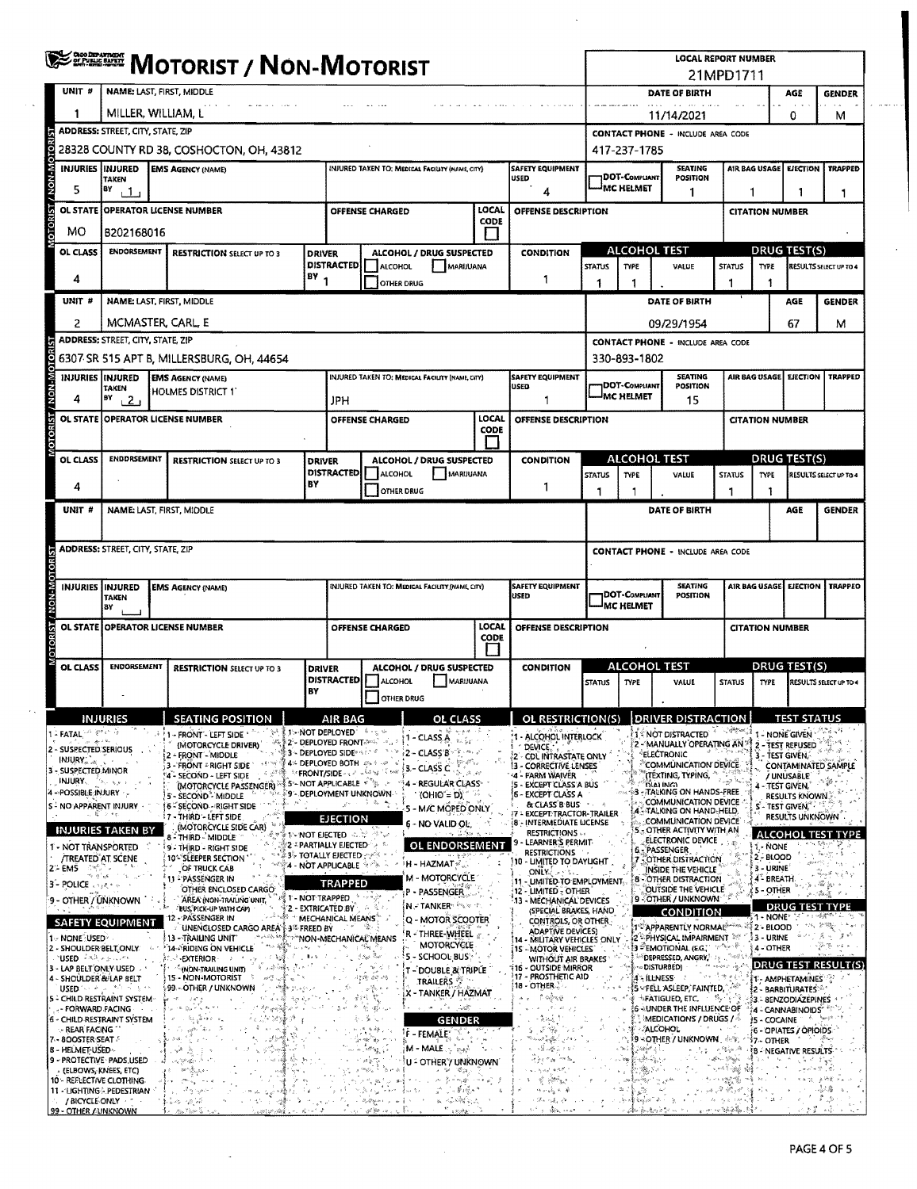|                                                                                                                                                                                                                                                                                                                                             | <b>ERRICH MOTORIST / NON-MOTORIST</b>                                        |                                                                                                                                                                                                                                                                                                                                                                                                                                                                                                                                                                                                                                              |                                                                                                                                                                                                                                                                                                                                                                                                                                                                                                                                                                                                                                                                                                                                                                                                                                                                                                                                                                                                                                                                                                          |                                                                           |                                                                  |                                                                                                                                                                                                                                                                                                                                               |                      |                                                                                                                                                                                                                                                                                                                                                                                                                                                                                                                                                                                                                        | <b>LOCAL REPORT NUMBER</b><br>21MPD1711                                                                           |                                              |                                                                                                                                                                                                                                                                                                                                                                                                                                                                                                                                                                                   |                                                                                                              |                                                                                                              |                                                                                                                                                                         |                                                                                                                                         |  |
|---------------------------------------------------------------------------------------------------------------------------------------------------------------------------------------------------------------------------------------------------------------------------------------------------------------------------------------------|------------------------------------------------------------------------------|----------------------------------------------------------------------------------------------------------------------------------------------------------------------------------------------------------------------------------------------------------------------------------------------------------------------------------------------------------------------------------------------------------------------------------------------------------------------------------------------------------------------------------------------------------------------------------------------------------------------------------------------|----------------------------------------------------------------------------------------------------------------------------------------------------------------------------------------------------------------------------------------------------------------------------------------------------------------------------------------------------------------------------------------------------------------------------------------------------------------------------------------------------------------------------------------------------------------------------------------------------------------------------------------------------------------------------------------------------------------------------------------------------------------------------------------------------------------------------------------------------------------------------------------------------------------------------------------------------------------------------------------------------------------------------------------------------------------------------------------------------------|---------------------------------------------------------------------------|------------------------------------------------------------------|-----------------------------------------------------------------------------------------------------------------------------------------------------------------------------------------------------------------------------------------------------------------------------------------------------------------------------------------------|----------------------|------------------------------------------------------------------------------------------------------------------------------------------------------------------------------------------------------------------------------------------------------------------------------------------------------------------------------------------------------------------------------------------------------------------------------------------------------------------------------------------------------------------------------------------------------------------------------------------------------------------------|-------------------------------------------------------------------------------------------------------------------|----------------------------------------------|-----------------------------------------------------------------------------------------------------------------------------------------------------------------------------------------------------------------------------------------------------------------------------------------------------------------------------------------------------------------------------------------------------------------------------------------------------------------------------------------------------------------------------------------------------------------------------------|--------------------------------------------------------------------------------------------------------------|--------------------------------------------------------------------------------------------------------------|-------------------------------------------------------------------------------------------------------------------------------------------------------------------------|-----------------------------------------------------------------------------------------------------------------------------------------|--|
| UNIT #                                                                                                                                                                                                                                                                                                                                      |                                                                              | NAME: LAST, FIRST, MIDDLE                                                                                                                                                                                                                                                                                                                                                                                                                                                                                                                                                                                                                    |                                                                                                                                                                                                                                                                                                                                                                                                                                                                                                                                                                                                                                                                                                                                                                                                                                                                                                                                                                                                                                                                                                          |                                                                           |                                                                  |                                                                                                                                                                                                                                                                                                                                               |                      |                                                                                                                                                                                                                                                                                                                                                                                                                                                                                                                                                                                                                        |                                                                                                                   |                                              | DATE OF BIRTH                                                                                                                                                                                                                                                                                                                                                                                                                                                                                                                                                                     |                                                                                                              |                                                                                                              | AGE                                                                                                                                                                     | <b>GENDER</b>                                                                                                                           |  |
|                                                                                                                                                                                                                                                                                                                                             |                                                                              | MILLER, WILLIAM, L                                                                                                                                                                                                                                                                                                                                                                                                                                                                                                                                                                                                                           |                                                                                                                                                                                                                                                                                                                                                                                                                                                                                                                                                                                                                                                                                                                                                                                                                                                                                                                                                                                                                                                                                                          |                                                                           |                                                                  |                                                                                                                                                                                                                                                                                                                                               |                      |                                                                                                                                                                                                                                                                                                                                                                                                                                                                                                                                                                                                                        |                                                                                                                   |                                              | 11/14/2021                                                                                                                                                                                                                                                                                                                                                                                                                                                                                                                                                                        |                                                                                                              |                                                                                                              | 0                                                                                                                                                                       | м                                                                                                                                       |  |
|                                                                                                                                                                                                                                                                                                                                             | <b>ADDRESS: STREET, CITY, STATE, ZIP</b>                                     |                                                                                                                                                                                                                                                                                                                                                                                                                                                                                                                                                                                                                                              |                                                                                                                                                                                                                                                                                                                                                                                                                                                                                                                                                                                                                                                                                                                                                                                                                                                                                                                                                                                                                                                                                                          |                                                                           |                                                                  |                                                                                                                                                                                                                                                                                                                                               |                      |                                                                                                                                                                                                                                                                                                                                                                                                                                                                                                                                                                                                                        |                                                                                                                   |                                              | <b>CONTACT PHONE - INCLUDE AREA CODE</b>                                                                                                                                                                                                                                                                                                                                                                                                                                                                                                                                          |                                                                                                              |                                                                                                              |                                                                                                                                                                         |                                                                                                                                         |  |
|                                                                                                                                                                                                                                                                                                                                             | 28328 COUNTY RD 38, COSHOCTON, OH, 43812                                     |                                                                                                                                                                                                                                                                                                                                                                                                                                                                                                                                                                                                                                              |                                                                                                                                                                                                                                                                                                                                                                                                                                                                                                                                                                                                                                                                                                                                                                                                                                                                                                                                                                                                                                                                                                          |                                                                           |                                                                  |                                                                                                                                                                                                                                                                                                                                               |                      |                                                                                                                                                                                                                                                                                                                                                                                                                                                                                                                                                                                                                        |                                                                                                                   | 417-237-1785                                 |                                                                                                                                                                                                                                                                                                                                                                                                                                                                                                                                                                                   |                                                                                                              |                                                                                                              |                                                                                                                                                                         |                                                                                                                                         |  |
| NON-MOTO<br>INJURIES INJURED                                                                                                                                                                                                                                                                                                                | <b>TAKEN</b>                                                                 | <b>EMS AGENCY (NAME)</b>                                                                                                                                                                                                                                                                                                                                                                                                                                                                                                                                                                                                                     |                                                                                                                                                                                                                                                                                                                                                                                                                                                                                                                                                                                                                                                                                                                                                                                                                                                                                                                                                                                                                                                                                                          |                                                                           |                                                                  | INJURED TAKEN TO: MEDICAL FACILITY (NAME, CITY)                                                                                                                                                                                                                                                                                               |                      | <b>SAFETY EQUIPMENT</b><br><b>USED</b>                                                                                                                                                                                                                                                                                                                                                                                                                                                                                                                                                                                 |                                                                                                                   | <b>1DOT-COMPLIANT</b>                        | <b>SEATING</b><br><b>POSITION</b>                                                                                                                                                                                                                                                                                                                                                                                                                                                                                                                                                 |                                                                                                              |                                                                                                              | AIR BAG USAGE EIECTION                                                                                                                                                  | <b>TRAPPED</b>                                                                                                                          |  |
| 5                                                                                                                                                                                                                                                                                                                                           | BY<br>ر 1 ر                                                                  |                                                                                                                                                                                                                                                                                                                                                                                                                                                                                                                                                                                                                                              |                                                                                                                                                                                                                                                                                                                                                                                                                                                                                                                                                                                                                                                                                                                                                                                                                                                                                                                                                                                                                                                                                                          |                                                                           |                                                                  |                                                                                                                                                                                                                                                                                                                                               |                      |                                                                                                                                                                                                                                                                                                                                                                                                                                                                                                                                                                                                                        | <sup>I</sup> MC HELMET<br>1                                                                                       |                                              |                                                                                                                                                                                                                                                                                                                                                                                                                                                                                                                                                                                   |                                                                                                              | 1<br>1<br>1                                                                                                  |                                                                                                                                                                         |                                                                                                                                         |  |
| <b>OTORIST</b><br><b>OL STATE</b>                                                                                                                                                                                                                                                                                                           |                                                                              | <b>OPERATOR LICENSE NUMBER</b>                                                                                                                                                                                                                                                                                                                                                                                                                                                                                                                                                                                                               |                                                                                                                                                                                                                                                                                                                                                                                                                                                                                                                                                                                                                                                                                                                                                                                                                                                                                                                                                                                                                                                                                                          |                                                                           | OFFENSE CHARGED                                                  |                                                                                                                                                                                                                                                                                                                                               | LOCAL<br>CODE        | <b>OFFENSE DESCRIPTION</b>                                                                                                                                                                                                                                                                                                                                                                                                                                                                                                                                                                                             |                                                                                                                   | <b>CITATION NUMBER</b>                       |                                                                                                                                                                                                                                                                                                                                                                                                                                                                                                                                                                                   |                                                                                                              |                                                                                                              |                                                                                                                                                                         |                                                                                                                                         |  |
| MО                                                                                                                                                                                                                                                                                                                                          | B202168016                                                                   |                                                                                                                                                                                                                                                                                                                                                                                                                                                                                                                                                                                                                                              |                                                                                                                                                                                                                                                                                                                                                                                                                                                                                                                                                                                                                                                                                                                                                                                                                                                                                                                                                                                                                                                                                                          |                                                                           |                                                                  |                                                                                                                                                                                                                                                                                                                                               |                      |                                                                                                                                                                                                                                                                                                                                                                                                                                                                                                                                                                                                                        |                                                                                                                   | <b>ALCOHOL TEST</b>                          |                                                                                                                                                                                                                                                                                                                                                                                                                                                                                                                                                                                   |                                                                                                              |                                                                                                              |                                                                                                                                                                         |                                                                                                                                         |  |
| OL CLASS                                                                                                                                                                                                                                                                                                                                    | <b>ENDORSEMENT</b>                                                           | <b>RESTRICTION SELECT UP TO 3</b>                                                                                                                                                                                                                                                                                                                                                                                                                                                                                                                                                                                                            |                                                                                                                                                                                                                                                                                                                                                                                                                                                                                                                                                                                                                                                                                                                                                                                                                                                                                                                                                                                                                                                                                                          | ALCOHOL / DRUG SUSPECTED<br><b>DRIVER</b><br>DISTRACTED<br><b>ALCOHOL</b> |                                                                  |                                                                                                                                                                                                                                                                                                                                               | MARUUANA             | <b>CONDITION</b>                                                                                                                                                                                                                                                                                                                                                                                                                                                                                                                                                                                                       | <b>STATUS</b>                                                                                                     | TYPE                                         | VALUE                                                                                                                                                                                                                                                                                                                                                                                                                                                                                                                                                                             | <b>DRUG TEST(S)</b><br><b>STATUS</b><br><b>TYPE</b>                                                          |                                                                                                              |                                                                                                                                                                         | RESULTS SELECT UP TO 4                                                                                                                  |  |
| 4                                                                                                                                                                                                                                                                                                                                           |                                                                              |                                                                                                                                                                                                                                                                                                                                                                                                                                                                                                                                                                                                                                              | $BY_1$                                                                                                                                                                                                                                                                                                                                                                                                                                                                                                                                                                                                                                                                                                                                                                                                                                                                                                                                                                                                                                                                                                   |                                                                           | <b>OTHER DRUG</b>                                                |                                                                                                                                                                                                                                                                                                                                               |                      | 1                                                                                                                                                                                                                                                                                                                                                                                                                                                                                                                                                                                                                      | 1                                                                                                                 | 1                                            |                                                                                                                                                                                                                                                                                                                                                                                                                                                                                                                                                                                   | 1                                                                                                            | 1                                                                                                            |                                                                                                                                                                         |                                                                                                                                         |  |
| UNIT <sup>#</sup>                                                                                                                                                                                                                                                                                                                           |                                                                              | NAME: LAST, FIRST, MIDDLE                                                                                                                                                                                                                                                                                                                                                                                                                                                                                                                                                                                                                    |                                                                                                                                                                                                                                                                                                                                                                                                                                                                                                                                                                                                                                                                                                                                                                                                                                                                                                                                                                                                                                                                                                          |                                                                           |                                                                  |                                                                                                                                                                                                                                                                                                                                               |                      |                                                                                                                                                                                                                                                                                                                                                                                                                                                                                                                                                                                                                        |                                                                                                                   |                                              | DATE OF BIRTH                                                                                                                                                                                                                                                                                                                                                                                                                                                                                                                                                                     |                                                                                                              |                                                                                                              | AGE                                                                                                                                                                     | <b>GENDER</b>                                                                                                                           |  |
| 2                                                                                                                                                                                                                                                                                                                                           |                                                                              | MCMASTER, CARL, E                                                                                                                                                                                                                                                                                                                                                                                                                                                                                                                                                                                                                            |                                                                                                                                                                                                                                                                                                                                                                                                                                                                                                                                                                                                                                                                                                                                                                                                                                                                                                                                                                                                                                                                                                          |                                                                           |                                                                  |                                                                                                                                                                                                                                                                                                                                               |                      |                                                                                                                                                                                                                                                                                                                                                                                                                                                                                                                                                                                                                        |                                                                                                                   |                                              | 09/29/1954                                                                                                                                                                                                                                                                                                                                                                                                                                                                                                                                                                        |                                                                                                              |                                                                                                              | 67                                                                                                                                                                      | м                                                                                                                                       |  |
|                                                                                                                                                                                                                                                                                                                                             | ADDRESS: STREET, CITY, STATE, ZIP                                            |                                                                                                                                                                                                                                                                                                                                                                                                                                                                                                                                                                                                                                              |                                                                                                                                                                                                                                                                                                                                                                                                                                                                                                                                                                                                                                                                                                                                                                                                                                                                                                                                                                                                                                                                                                          |                                                                           |                                                                  |                                                                                                                                                                                                                                                                                                                                               |                      |                                                                                                                                                                                                                                                                                                                                                                                                                                                                                                                                                                                                                        |                                                                                                                   |                                              | <b>CONTACT PHONE - INCLUDE AREA CODE</b>                                                                                                                                                                                                                                                                                                                                                                                                                                                                                                                                          |                                                                                                              |                                                                                                              |                                                                                                                                                                         |                                                                                                                                         |  |
| <b>INJURIES IINJURED</b>                                                                                                                                                                                                                                                                                                                    |                                                                              | 6307 SR 515 APT B, MILLERSBURG, OH, 44654<br><b>EMS AGENCY (NAME)</b>                                                                                                                                                                                                                                                                                                                                                                                                                                                                                                                                                                        |                                                                                                                                                                                                                                                                                                                                                                                                                                                                                                                                                                                                                                                                                                                                                                                                                                                                                                                                                                                                                                                                                                          |                                                                           |                                                                  | INJURED TAKEN TO: MEDICAL FACILITY (NAME, CITY)                                                                                                                                                                                                                                                                                               |                      | <b>SAFETY EQUIPMENT</b>                                                                                                                                                                                                                                                                                                                                                                                                                                                                                                                                                                                                |                                                                                                                   | 330-893-1802                                 | <b>SEATING</b>                                                                                                                                                                                                                                                                                                                                                                                                                                                                                                                                                                    |                                                                                                              |                                                                                                              |                                                                                                                                                                         | <b>TRAPPED</b>                                                                                                                          |  |
| NON-MOTORIST<br>4                                                                                                                                                                                                                                                                                                                           | <b>TAKEN</b><br>₿Y                                                           | HOLMES DISTRICT 1                                                                                                                                                                                                                                                                                                                                                                                                                                                                                                                                                                                                                            |                                                                                                                                                                                                                                                                                                                                                                                                                                                                                                                                                                                                                                                                                                                                                                                                                                                                                                                                                                                                                                                                                                          |                                                                           |                                                                  |                                                                                                                                                                                                                                                                                                                                               |                      | <b>USED</b>                                                                                                                                                                                                                                                                                                                                                                                                                                                                                                                                                                                                            |                                                                                                                   | <b>IDOT-COMPLIANT</b><br>-IMC HELMET         | <b>POSITION</b>                                                                                                                                                                                                                                                                                                                                                                                                                                                                                                                                                                   |                                                                                                              | AIR BAG USAGE EJECTION                                                                                       |                                                                                                                                                                         |                                                                                                                                         |  |
|                                                                                                                                                                                                                                                                                                                                             | 2 <sub>1</sub>                                                               | OL STATE OPERATOR LICENSE NUMBER                                                                                                                                                                                                                                                                                                                                                                                                                                                                                                                                                                                                             |                                                                                                                                                                                                                                                                                                                                                                                                                                                                                                                                                                                                                                                                                                                                                                                                                                                                                                                                                                                                                                                                                                          | JPH                                                                       | <b>OFFENSE CHARGED</b>                                           |                                                                                                                                                                                                                                                                                                                                               | LOCAL                | 1<br>OFFENSE DESCRIPTION                                                                                                                                                                                                                                                                                                                                                                                                                                                                                                                                                                                               |                                                                                                                   |                                              | 15                                                                                                                                                                                                                                                                                                                                                                                                                                                                                                                                                                                |                                                                                                              | <b>CITATION NUMBER</b>                                                                                       |                                                                                                                                                                         |                                                                                                                                         |  |
| OTORIST/                                                                                                                                                                                                                                                                                                                                    |                                                                              |                                                                                                                                                                                                                                                                                                                                                                                                                                                                                                                                                                                                                                              |                                                                                                                                                                                                                                                                                                                                                                                                                                                                                                                                                                                                                                                                                                                                                                                                                                                                                                                                                                                                                                                                                                          |                                                                           |                                                                  |                                                                                                                                                                                                                                                                                                                                               | CODE                 |                                                                                                                                                                                                                                                                                                                                                                                                                                                                                                                                                                                                                        |                                                                                                                   |                                              |                                                                                                                                                                                                                                                                                                                                                                                                                                                                                                                                                                                   |                                                                                                              |                                                                                                              |                                                                                                                                                                         |                                                                                                                                         |  |
| OL CLASS                                                                                                                                                                                                                                                                                                                                    | ENDDRSEMENT                                                                  | <b>RESTRICTION SELECT UP TO 3</b>                                                                                                                                                                                                                                                                                                                                                                                                                                                                                                                                                                                                            | <b>DRIVER</b>                                                                                                                                                                                                                                                                                                                                                                                                                                                                                                                                                                                                                                                                                                                                                                                                                                                                                                                                                                                                                                                                                            |                                                                           |                                                                  | <b>ALCOHOL / DRUG SUSPECTED</b>                                                                                                                                                                                                                                                                                                               |                      | <b>CONDITION</b>                                                                                                                                                                                                                                                                                                                                                                                                                                                                                                                                                                                                       |                                                                                                                   | ALCOHOL TEST                                 |                                                                                                                                                                                                                                                                                                                                                                                                                                                                                                                                                                                   |                                                                                                              |                                                                                                              | <b>DRUG TEST(S)</b>                                                                                                                                                     |                                                                                                                                         |  |
|                                                                                                                                                                                                                                                                                                                                             |                                                                              |                                                                                                                                                                                                                                                                                                                                                                                                                                                                                                                                                                                                                                              | BY                                                                                                                                                                                                                                                                                                                                                                                                                                                                                                                                                                                                                                                                                                                                                                                                                                                                                                                                                                                                                                                                                                       | DISTRACTED                                                                | ALCOHOL                                                          | MARUUANA                                                                                                                                                                                                                                                                                                                                      |                      |                                                                                                                                                                                                                                                                                                                                                                                                                                                                                                                                                                                                                        | <b>STATUS</b>                                                                                                     | <b>TYPE</b>                                  | VALUE                                                                                                                                                                                                                                                                                                                                                                                                                                                                                                                                                                             | <b>STATUS</b>                                                                                                | <b>TYPE</b>                                                                                                  |                                                                                                                                                                         | RESULTS SELECT UP TO 4                                                                                                                  |  |
| 4                                                                                                                                                                                                                                                                                                                                           |                                                                              |                                                                                                                                                                                                                                                                                                                                                                                                                                                                                                                                                                                                                                              |                                                                                                                                                                                                                                                                                                                                                                                                                                                                                                                                                                                                                                                                                                                                                                                                                                                                                                                                                                                                                                                                                                          |                                                                           | OTHER DRUG                                                       |                                                                                                                                                                                                                                                                                                                                               |                      | 1                                                                                                                                                                                                                                                                                                                                                                                                                                                                                                                                                                                                                      | 1                                                                                                                 |                                              |                                                                                                                                                                                                                                                                                                                                                                                                                                                                                                                                                                                   | 1                                                                                                            |                                                                                                              |                                                                                                                                                                         |                                                                                                                                         |  |
| UNIT #                                                                                                                                                                                                                                                                                                                                      |                                                                              | NAME: LAST, FIRST, MIDDLE                                                                                                                                                                                                                                                                                                                                                                                                                                                                                                                                                                                                                    |                                                                                                                                                                                                                                                                                                                                                                                                                                                                                                                                                                                                                                                                                                                                                                                                                                                                                                                                                                                                                                                                                                          |                                                                           |                                                                  |                                                                                                                                                                                                                                                                                                                                               |                      |                                                                                                                                                                                                                                                                                                                                                                                                                                                                                                                                                                                                                        |                                                                                                                   |                                              | DATE OF BIRTH                                                                                                                                                                                                                                                                                                                                                                                                                                                                                                                                                                     |                                                                                                              |                                                                                                              | <b>AGE</b>                                                                                                                                                              | <b>GENDER</b>                                                                                                                           |  |
|                                                                                                                                                                                                                                                                                                                                             | <b>ADDRESS: STREET, CITY, STATE, ZIP</b>                                     |                                                                                                                                                                                                                                                                                                                                                                                                                                                                                                                                                                                                                                              |                                                                                                                                                                                                                                                                                                                                                                                                                                                                                                                                                                                                                                                                                                                                                                                                                                                                                                                                                                                                                                                                                                          |                                                                           |                                                                  |                                                                                                                                                                                                                                                                                                                                               |                      |                                                                                                                                                                                                                                                                                                                                                                                                                                                                                                                                                                                                                        |                                                                                                                   |                                              | <b>CONTACT PHONE - INCLUDE AREA CODE</b>                                                                                                                                                                                                                                                                                                                                                                                                                                                                                                                                          |                                                                                                              |                                                                                                              |                                                                                                                                                                         |                                                                                                                                         |  |
|                                                                                                                                                                                                                                                                                                                                             |                                                                              |                                                                                                                                                                                                                                                                                                                                                                                                                                                                                                                                                                                                                                              |                                                                                                                                                                                                                                                                                                                                                                                                                                                                                                                                                                                                                                                                                                                                                                                                                                                                                                                                                                                                                                                                                                          |                                                                           |                                                                  |                                                                                                                                                                                                                                                                                                                                               |                      |                                                                                                                                                                                                                                                                                                                                                                                                                                                                                                                                                                                                                        |                                                                                                                   |                                              |                                                                                                                                                                                                                                                                                                                                                                                                                                                                                                                                                                                   |                                                                                                              |                                                                                                              |                                                                                                                                                                         |                                                                                                                                         |  |
| <b>IST/NON-MOTOR</b><br><b>INJURIES</b>                                                                                                                                                                                                                                                                                                     | <b>INJURED</b><br><b>TAKEN</b><br>B٧                                         | <b>EMS AGENCY (NAME)</b>                                                                                                                                                                                                                                                                                                                                                                                                                                                                                                                                                                                                                     |                                                                                                                                                                                                                                                                                                                                                                                                                                                                                                                                                                                                                                                                                                                                                                                                                                                                                                                                                                                                                                                                                                          |                                                                           |                                                                  | INJURED TAKEN TO: MEDICAL FACILITY (NAME, CITY)                                                                                                                                                                                                                                                                                               |                      | <b>SAFETY EQUIPMENT</b><br><b>USED</b>                                                                                                                                                                                                                                                                                                                                                                                                                                                                                                                                                                                 | <b>SEATING</b><br>AIR BAG USAGE<br><b>EJECTION</b><br><b>DOT-COMPLIANT</b><br><b>POSITION</b><br><b>MC HELMET</b> |                                              |                                                                                                                                                                                                                                                                                                                                                                                                                                                                                                                                                                                   |                                                                                                              |                                                                                                              | <b>TRAPPEO</b>                                                                                                                                                          |                                                                                                                                         |  |
|                                                                                                                                                                                                                                                                                                                                             |                                                                              | OL STATE OPERATOR LICENSE NUMBER                                                                                                                                                                                                                                                                                                                                                                                                                                                                                                                                                                                                             |                                                                                                                                                                                                                                                                                                                                                                                                                                                                                                                                                                                                                                                                                                                                                                                                                                                                                                                                                                                                                                                                                                          |                                                                           | OFFENSE CHARGED                                                  |                                                                                                                                                                                                                                                                                                                                               | LOCAL<br><b>CODE</b> | OFFENSE DESCRIPTION                                                                                                                                                                                                                                                                                                                                                                                                                                                                                                                                                                                                    |                                                                                                                   |                                              | <b>CITATION NUMBER</b>                                                                                                                                                                                                                                                                                                                                                                                                                                                                                                                                                            |                                                                                                              |                                                                                                              |                                                                                                                                                                         |                                                                                                                                         |  |
| OL CLASS                                                                                                                                                                                                                                                                                                                                    | <b>ENDORSEMENT</b>                                                           | <b>RESTRICTION SELECT UP TO 3</b>                                                                                                                                                                                                                                                                                                                                                                                                                                                                                                                                                                                                            | <b>DRIVER</b><br>BY                                                                                                                                                                                                                                                                                                                                                                                                                                                                                                                                                                                                                                                                                                                                                                                                                                                                                                                                                                                                                                                                                      | <b>DISTRACTED</b>                                                         | ALCOHOL<br><b>OTHER DRUG</b>                                     | ALCOHOL / DRUG SUSPECTED<br>MARUUANA                                                                                                                                                                                                                                                                                                          |                      | <b>ALCOHOL TEST</b><br><b>CONDITION</b><br><b>STATUS</b><br><b>TYPE</b>                                                                                                                                                                                                                                                                                                                                                                                                                                                                                                                                                |                                                                                                                   |                                              | VALUE                                                                                                                                                                                                                                                                                                                                                                                                                                                                                                                                                                             | <b>STATUS</b><br>TYPE                                                                                        |                                                                                                              |                                                                                                                                                                         | <b>DRUG TEST(S)</b><br>RESULTS SELECT UP TO 4                                                                                           |  |
| $1$ - FATAL, $\mathbb{R}^{n_{\text{max}} \times \frac{1}{2}}$                                                                                                                                                                                                                                                                               | INJUKIE:                                                                     | SEATING POSITIOI                                                                                                                                                                                                                                                                                                                                                                                                                                                                                                                                                                                                                             |                                                                                                                                                                                                                                                                                                                                                                                                                                                                                                                                                                                                                                                                                                                                                                                                                                                                                                                                                                                                                                                                                                          |                                                                           |                                                                  |                                                                                                                                                                                                                                                                                                                                               |                      | <b>RESTRICTION(S)</b>                                                                                                                                                                                                                                                                                                                                                                                                                                                                                                                                                                                                  |                                                                                                                   |                                              | <b>DRIVER DISTRACTION</b>                                                                                                                                                                                                                                                                                                                                                                                                                                                                                                                                                         | $\Phi_{\rm c} = \frac{1}{2} \sum_{i=1}^n \sum_{j=1}^n \Phi_{ij}^{\rm c} \Phi_{ij}^{\rm c} \Phi_{ij}^{\rm c}$ |                                                                                                              |                                                                                                                                                                         |                                                                                                                                         |  |
| بالألتقان<br>2 - SUSPECTED SERIOUS<br>$IMJIRY_{max}$<br>3 - SUSPECTED MINOR<br>INJURY.<br>4 - POSSIBLE INJURY<br>S - NO APPARENT INJURY<br>1 - NOT TRANSPORTED<br>/TREATED AT SCENE<br>27 EM5<br><b>B - POLICE</b> and the<br>9 - OTHER / UNKNOWN<br>1 - NONE USED *<br>2 - SHOULDER BELT, ONLY<br>PUSED イベネィシュアル<br>3 - LAP BELT ONLY USED | والهروا ليكأآ<br>解 こせ<br><b>INJURIES TAKEN BY</b><br><b>SAFETY EQUIPMENT</b> | (MOTORCYCLE DRIVER)<br>- FRONT - MIDDLE<br>使物<br>3 - FRONT - RIGHT SIDE<br>4 - SECOND - LEFT SIDE<br>(MOTORCYCLE PASSENGER) = 5 - NOT APPLICABLE + 1<br>5'- SECOND <sup>"</sup> - MIDDLE<br><b>5 - SECOND - RIGHT SIDE</b><br><b>17 - THIRD - LEFT SIDE</b><br>(MOTORCYCLE SIDE CAR)<br>8 - THIRD - MIDDLE<br>9 - THIRD - RIGHT SIDE<br>10*"SLEEPER SECTION<br>OF TRUCK CAB<br>11 - PASSENGER IN<br>OTHER ENCLOSED CARGO<br>AREA (NON-TRAILING UNIT,<br>'bus,'pick-up with cap)<br>2 - PASSENGER IN<br>UNENCLOSED CARGO AREA \$ 3% FREED BY<br>جه په می<br>13 - TRAILING UNIT<br>14 ARIDING ON VEHICLE<br>∘EXTERIOR ∂<br>(NON-TRAILING UNIT) | ঞ্≸2⊱ DEPLOYED FRONTঞ¤ കാ<br><b>3 - DEPLOYED SIDE: 3 8 -</b><br>4% DEPLOYED BOTH 4% f<br>ਨ ਨੂੰ ਪੱਤਿਆ ਦੀ ਸ਼ਾਮਲ ਦੀ ਸ਼ਾਮਲ ਵਿੱਚ ਪ੍ਰਤੀ ਸ਼ਾਮਲ ਦੀ ਸ਼ਾਮਲ ਦੀ ਸ਼ਾਮਲ ਦੀ ਸ਼ਾਮਲ ਦੀ ਸ਼ਾਮਲ ਦੀ ਸ਼ਾਮਲ ਦੀ ਸ਼ਾਮਲ ਦੀ ਸ਼ਾਮਲ<br>S9 - DEPLOYMENT UNKNOWN-<br><b>T-NOT EIECTED</b><br>2 - PARTIALLY EJECTED<br>$\stackrel{\scriptscriptstyle \rm !}{\scriptscriptstyle \rm !}$ $\stackrel{\scriptscriptstyle \rm !}{\scriptscriptstyle \rm !}$ $\stackrel{\scriptscriptstyle \rm !}{\scriptscriptstyle \rm !}$ $\stackrel{\scriptscriptstyle \rm !}{\scriptscriptstyle \rm !}$ $\stackrel{\scriptscriptstyle \rm !}{\scriptscriptstyle \rm !}$ $\stackrel{\scriptscriptstyle \rm !}{\scriptscriptstyle \rm !}$ $\stackrel{\scriptscriptstyle \rm !}{\scriptscriptstyle \rm !}$ $\stackrel{\scriptscriptstyle \rm !}{\scriptscriptstyle \rm !}$ $\stackrel{\scriptscriptstyle \rm !}{\scriptscriptstyle \rm !}$ $\stackrel{\scriptscriptstyle \rm !}{\scriptscriptstyle \rm !}$<br>$\%$ 4 - NOT APPLICABLE $\%$<br><b>T - NOT TRAPPED</b><br>2 - EXTRICATED BY<br><b>A MARK THE MECHANICAL MEANS</b><br>《" ^"NON-MECHANICAE MEANS | EJECTION<br>TRAPPED                                                       | م کا انت                                                         | 1 - CLASS A<br>22.51<br>}2 – CLASS′B`°® <sup>, a,</sup> ≀<br>3 - CLASS C<br>4 - REGULAR CLASS-<br>(OHIO = D)<br>5 - M/C MOPED ONLY<br>6 - NO VALID OE.<br>OL ENDORSEMENT<br>H - HAZMAT -<br>M - MOTORCYCLE<br>P - PASSENGER<br>N-TANKER PART<br>Q - MOTOR SCOOTER<br>R - THREE-WHEEL<br>MOTORCYCLE<br>S - SCHOOL BUS :<br>T - DOUBLE & TRIPLE |                      | 1 - ALCOHOL INTERLOCK<br><b>DEVICE</b><br>2 - COL INTRASTATE ONLY<br>13 - CORRECTIVE LENSES<br>14 - FARM WAIVER<br>15 - EXCEPT CLASS A BUS<br>{6 - EXCEPT CLASS A<br>& CLASS B BUS<br>- EXCEPT:TRACTOR-TRAILER<br>8 - INTERMEDIATE LICENSE<br><b>RESTRICTIONS</b><br>LEARNER'S PERMIT-<br><b>RESTRICTIONS</b><br>10 - UMITED TO DAYUGHT<br>ONLY < 1<br>11 - LIMITED TO EMPLOYMENT.<br>12 - LIMITED - OTHER<br>13 - MECHANICAL DEVICES<br>(SPECIAL BRAKES, HAND<br>CONTROLS, OR OTHER<br><b>ADAPTIVE DEVICES)</b><br>14 - MILITARY VEHICLES ONLY<br>[15 - MOTOR VEHICLES]<br>WITHOUT AIR BRAKES<br>116 - OUTSIDE MIRROR |                                                                                                                   | ™ DISTURBED)                                 | 2 - MANUALLY OPERATING AN *<br>ELECTRONIC<br><b>COMMUNICATION DEVICE</b><br>(TEXTING, TYPING,<br><b>GIALING</b><br>83 - TALKING ON HANDS-FREE<br>COMMUNICATION DEVICE<br><b>A TALKING ON HAND-HELD</b><br>COMMUNICATION DEVICE<br>- OTHER ACTIVITY WITH AN<br>ELECTRONIC DEVICE<br>6 - PASSENGER<br>- OTHER DISTRACTION<br>INSIDE THE VEHICLE<br>8 - OTHER DISTRACTION<br>OUTSIDE THE VEHICLE<br>9 - OTHER / UNKNOWN<br><b>CONDITION</b><br><b>1 APPARENTLY NORMAL ARE AN 2 - BLOOD</b><br>2 PHYSICAL IMPAIRMENT IF<br>3 FEMOTIONAL (E.G.)<br><b><i>SDEPRESSED, ANGRY, 12</i></b> |                                                                                                              | 1 NONE<br>2 - BLOOD<br>3 - URINE<br>4-BREATH<br>5 - OTHER<br>1 - NONE <sup>*</sup><br>3 - URINE<br>4 - OTHER | 2 - TEST REFUSED<br>3 - TEST GIVEN,<br>/ UNUSABLE<br>4 - TEST GIVEN,<br><b>RESULTS KNOWN</b><br>S - TEST GIVEN,<br><b>RESULTS UNKNOWN</b><br><b>DRUG</b>                | CONTAMINATED SAMPLE<br><b>ALCOHOL TEST TYPE</b><br>TEST TYPE<br>- 小麦黄<br>化气弹簧<br>$\mathcal{J}^{+6}$<br>弄っ<br>PS.<br> DRUG TEST RESULT(S |  |
| 4 - SHOULDER & LAP BELT<br>5 - CHILD RESTRAINT SYSTEM<br>- FORWARD FACING<br><b>6 - CHILD RESTRAINT SYSTEM</b><br>- REAR FACING<br>7 - BOOSTER SEAT 5<br><b>B-HELMET-USED-</b><br>9 - PROTECTIVE PADS USED<br>(ELBOWS, KNEES, ETC)<br>10 - REFLECTIVE CLOTHING<br>11 - Lighting Apedestrian<br>/ BICYCLE ONLY<br>99 - OTHER / UNKNOWN       | USED See All and State State                                                 | 15 - NON-MOTORIST<br>99 - OTHER / UNKNOWN<br>್ಷತೀಕರ ಜೃ<br>ିଲେ । ଏହି ବୈ                                                                                                                                                                                                                                                                                                                                                                                                                                                                                                                                                                       |                                                                                                                                                                                                                                                                                                                                                                                                                                                                                                                                                                                                                                                                                                                                                                                                                                                                                                                                                                                                                                                                                                          |                                                                           | materially in<br><sup>s</sup> eftig <sub>en</sub> ().<br>र जक पु | <b>TRAILERS</b><br>X - TANKER / HAZMAT<br>$\sqrt{\mathcal{N}} = -\sqrt{2} \sqrt{2} \mathcal{N}$<br><b>GENDER</b><br>F - FEMALE.<br>$\mathsf{M}\cdot\mathsf{MALE}\subset\mathbb{R}^{d\times d}$<br>u - Other'y Unknown<br><b>Section</b><br>Jis 静1琼入<br>的复数                                                                                    |                      | 17 - PROSTHETIC AID<br> 18 - OTHER<br>- 微聚戊醇<br>Ŵ,<br>ra ar gafy<br>م ج⊷ §ن<br>۰,<br>$\mathcal{L}^{\text{max}}_{\text{max}}$                                                                                                                                                                                                                                                                                                                                                                                                                                                                                           |                                                                                                                   | 4 - ILLNESS<br>ALCOHOL<br>三侧层<br>没被绑紧的<br>й. | S - FELL ASLEEP, FAINTED, 199<br>*FATIGUED, ETC.<br>6 - UNDER THE INFLUENCE OF<br>MEDICATIONS / DRUGS /                                                                                                                                                                                                                                                                                                                                                                                                                                                                           | $\tau_{\sigma_{\rm v}}$<br>网络<br>itica di Sant<br>. 예약 - 4월                                                  | 5 - COCAINE<br>$77 -$ OTHER                                                                                  | <b>T. AMPHETAMINES</b><br>2 - BARBITURATES <sup>®</sup><br>3 - BENZODIAZEPINES<br>4 - CANNABINOIDS'' ''<br>6 - OPIATES / OPIOIDS<br><b>B-NEGATIVE RESULTS</b><br>じょっ ピペ | - F. - Royal St<br>法施定<br>₩                                                                                                             |  |

 $\bar{z}$ 

 $\ddot{\phantom{a}}$  .

 $\ddot{\phantom{a}}$